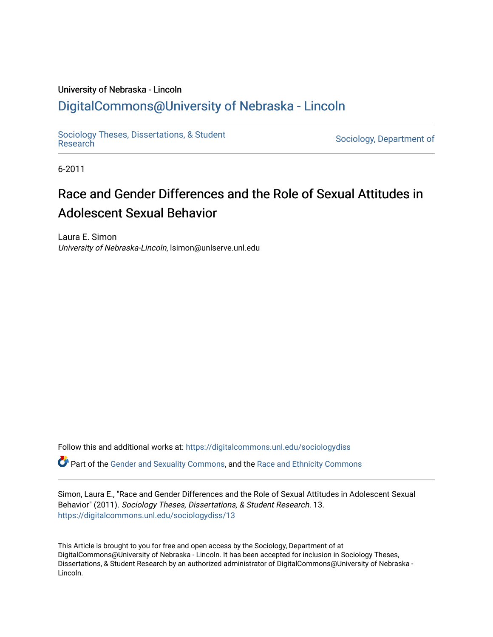## University of Nebraska - Lincoln

# [DigitalCommons@University of Nebraska - Lincoln](https://digitalcommons.unl.edu/)

[Sociology Theses, Dissertations, & Student](https://digitalcommons.unl.edu/sociologydiss)

Sociology, Department of

6-2011

# Race and Gender Differences and the Role of Sexual Attitudes in Adolescent Sexual Behavior

Laura E. Simon University of Nebraska-Lincoln, lsimon@unlserve.unl.edu

Follow this and additional works at: [https://digitalcommons.unl.edu/sociologydiss](https://digitalcommons.unl.edu/sociologydiss?utm_source=digitalcommons.unl.edu%2Fsociologydiss%2F13&utm_medium=PDF&utm_campaign=PDFCoverPages) 

Part of the [Gender and Sexuality Commons](http://network.bepress.com/hgg/discipline/420?utm_source=digitalcommons.unl.edu%2Fsociologydiss%2F13&utm_medium=PDF&utm_campaign=PDFCoverPages), and the [Race and Ethnicity Commons](http://network.bepress.com/hgg/discipline/426?utm_source=digitalcommons.unl.edu%2Fsociologydiss%2F13&utm_medium=PDF&utm_campaign=PDFCoverPages) 

Simon, Laura E., "Race and Gender Differences and the Role of Sexual Attitudes in Adolescent Sexual Behavior" (2011). Sociology Theses, Dissertations, & Student Research. 13. [https://digitalcommons.unl.edu/sociologydiss/13](https://digitalcommons.unl.edu/sociologydiss/13?utm_source=digitalcommons.unl.edu%2Fsociologydiss%2F13&utm_medium=PDF&utm_campaign=PDFCoverPages)

This Article is brought to you for free and open access by the Sociology, Department of at DigitalCommons@University of Nebraska - Lincoln. It has been accepted for inclusion in Sociology Theses, Dissertations, & Student Research by an authorized administrator of DigitalCommons@University of Nebraska -Lincoln.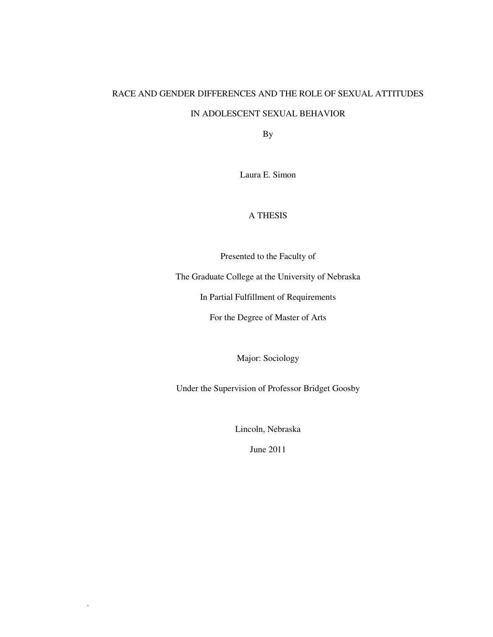# RACE AND GENDER DIFFERENCES AND THE ROLE OF SEXUAL ATTITUDES

## IN ADOLESCENT SEXUAL BEHAVIOR

By

Laura E. Simon

### A THESIS

Presented to the Faculty of

The Graduate College at the University of Nebraska

In Partial Fulfillment of Requirements

For the Degree of Master of Arts

Major: Sociology

Under the Supervision of Professor Bridget Goosby

Lincoln, Nebraska

June 2011

.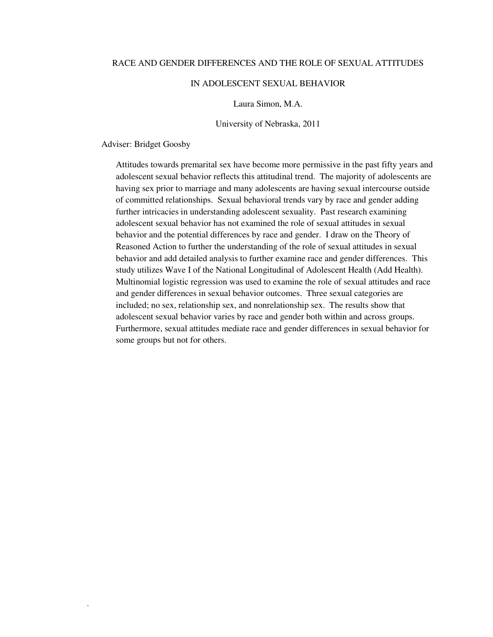#### RACE AND GENDER DIFFERENCES AND THE ROLE OF SEXUAL ATTITUDES

#### IN ADOLESCENT SEXUAL BEHAVIOR

Laura Simon, M.A.

University of Nebraska, 2011

Adviser: Bridget Goosby

.

Attitudes towards premarital sex have become more permissive in the past fifty years and adolescent sexual behavior reflects this attitudinal trend. The majority of adolescents are having sex prior to marriage and many adolescents are having sexual intercourse outside of committed relationships. Sexual behavioral trends vary by race and gender adding further intricacies in understanding adolescent sexuality. Past research examining adolescent sexual behavior has not examined the role of sexual attitudes in sexual behavior and the potential differences by race and gender. I draw on the Theory of Reasoned Action to further the understanding of the role of sexual attitudes in sexual behavior and add detailed analysis to further examine race and gender differences. This study utilizes Wave I of the National Longitudinal of Adolescent Health (Add Health). Multinomial logistic regression was used to examine the role of sexual attitudes and race and gender differences in sexual behavior outcomes. Three sexual categories are included; no sex, relationship sex, and nonrelationship sex. The results show that adolescent sexual behavior varies by race and gender both within and across groups. Furthermore, sexual attitudes mediate race and gender differences in sexual behavior for some groups but not for others.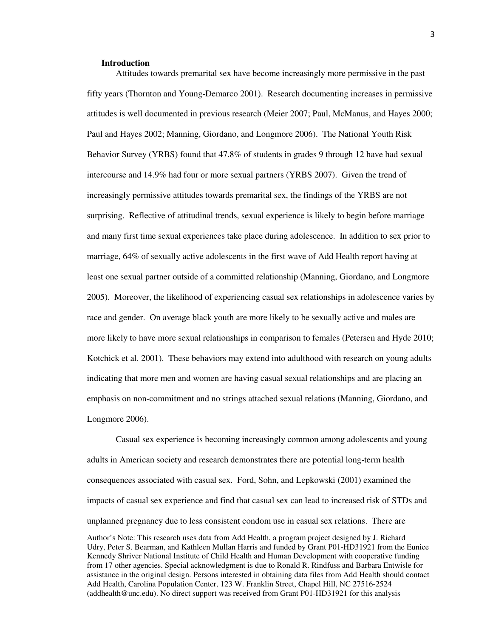#### **Introduction**

Attitudes towards premarital sex have become increasingly more permissive in the past fifty years (Thornton and Young-Demarco 2001). Research documenting increases in permissive attitudes is well documented in previous research (Meier 2007; Paul, McManus, and Hayes 2000; Paul and Hayes 2002; Manning, Giordano, and Longmore 2006). The National Youth Risk Behavior Survey (YRBS) found that 47.8% of students in grades 9 through 12 have had sexual intercourse and 14.9% had four or more sexual partners (YRBS 2007). Given the trend of increasingly permissive attitudes towards premarital sex, the findings of the YRBS are not surprising. Reflective of attitudinal trends, sexual experience is likely to begin before marriage and many first time sexual experiences take place during adolescence. In addition to sex prior to marriage, 64% of sexually active adolescents in the first wave of Add Health report having at least one sexual partner outside of a committed relationship (Manning, Giordano, and Longmore 2005). Moreover, the likelihood of experiencing casual sex relationships in adolescence varies by race and gender. On average black youth are more likely to be sexually active and males are more likely to have more sexual relationships in comparison to females (Petersen and Hyde 2010; Kotchick et al. 2001). These behaviors may extend into adulthood with research on young adults indicating that more men and women are having casual sexual relationships and are placing an emphasis on non-commitment and no strings attached sexual relations (Manning, Giordano, and Longmore 2006).

Casual sex experience is becoming increasingly common among adolescents and young adults in American society and research demonstrates there are potential long-term health consequences associated with casual sex. Ford, Sohn, and Lepkowski (2001) examined the impacts of casual sex experience and find that casual sex can lead to increased risk of STDs and unplanned pregnancy due to less consistent condom use in casual sex relations. There are

Author's Note: This research uses data from Add Health, a program project designed by J. Richard Udry, Peter S. Bearman, and Kathleen Mullan Harris and funded by Grant P01-HD31921 from the Eunice Kennedy Shriver National Institute of Child Health and Human Development with cooperative funding from 17 other agencies. Special acknowledgment is due to Ronald R. Rindfuss and Barbara Entwisle for assistance in the original design. Persons interested in obtaining data files from Add Health should contact Add Health, Carolina Population Center, 123 W. Franklin Street, Chapel Hill, NC 27516-2524 (addhealth@unc.edu). No direct support was received from Grant P01-HD31921 for this analysis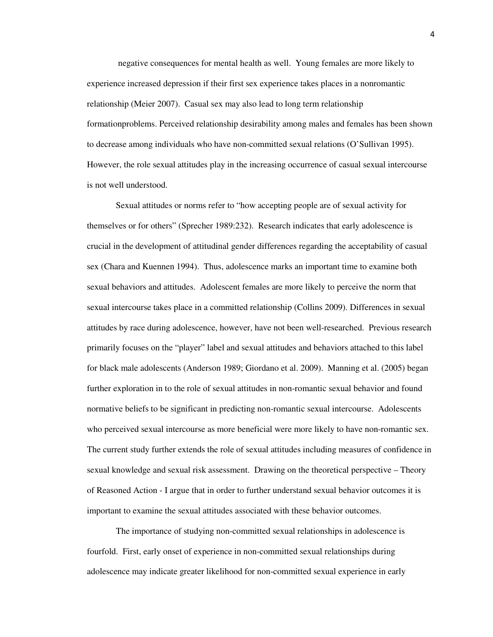negative consequences for mental health as well. Young females are more likely to experience increased depression if their first sex experience takes places in a nonromantic relationship (Meier 2007). Casual sex may also lead to long term relationship formationproblems. Perceived relationship desirability among males and females has been shown to decrease among individuals who have non-committed sexual relations (O'Sullivan 1995). However, the role sexual attitudes play in the increasing occurrence of casual sexual intercourse is not well understood.

Sexual attitudes or norms refer to "how accepting people are of sexual activity for themselves or for others" (Sprecher 1989:232). Research indicates that early adolescence is crucial in the development of attitudinal gender differences regarding the acceptability of casual sex (Chara and Kuennen 1994). Thus, adolescence marks an important time to examine both sexual behaviors and attitudes. Adolescent females are more likely to perceive the norm that sexual intercourse takes place in a committed relationship (Collins 2009). Differences in sexual attitudes by race during adolescence, however, have not been well-researched. Previous research primarily focuses on the "player" label and sexual attitudes and behaviors attached to this label for black male adolescents (Anderson 1989; Giordano et al. 2009). Manning et al. (2005) began further exploration in to the role of sexual attitudes in non-romantic sexual behavior and found normative beliefs to be significant in predicting non-romantic sexual intercourse. Adolescents who perceived sexual intercourse as more beneficial were more likely to have non-romantic sex. The current study further extends the role of sexual attitudes including measures of confidence in sexual knowledge and sexual risk assessment. Drawing on the theoretical perspective – Theory of Reasoned Action - I argue that in order to further understand sexual behavior outcomes it is important to examine the sexual attitudes associated with these behavior outcomes.

The importance of studying non-committed sexual relationships in adolescence is fourfold. First, early onset of experience in non-committed sexual relationships during adolescence may indicate greater likelihood for non-committed sexual experience in early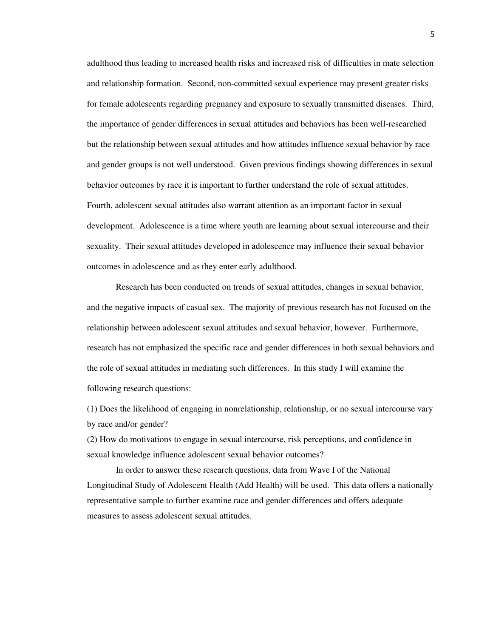adulthood thus leading to increased health risks and increased risk of difficulties in mate selection and relationship formation. Second, non-committed sexual experience may present greater risks for female adolescents regarding pregnancy and exposure to sexually transmitted diseases. Third, the importance of gender differences in sexual attitudes and behaviors has been well-researched but the relationship between sexual attitudes and how attitudes influence sexual behavior by race and gender groups is not well understood. Given previous findings showing differences in sexual behavior outcomes by race it is important to further understand the role of sexual attitudes. Fourth, adolescent sexual attitudes also warrant attention as an important factor in sexual development. Adolescence is a time where youth are learning about sexual intercourse and their sexuality. Their sexual attitudes developed in adolescence may influence their sexual behavior outcomes in adolescence and as they enter early adulthood.

 Research has been conducted on trends of sexual attitudes, changes in sexual behavior, and the negative impacts of casual sex. The majority of previous research has not focused on the relationship between adolescent sexual attitudes and sexual behavior, however. Furthermore, research has not emphasized the specific race and gender differences in both sexual behaviors and the role of sexual attitudes in mediating such differences. In this study I will examine the following research questions:

(1) Does the likelihood of engaging in nonrelationship, relationship, or no sexual intercourse vary by race and/or gender?

(2) How do motivations to engage in sexual intercourse, risk perceptions, and confidence in sexual knowledge influence adolescent sexual behavior outcomes?

 In order to answer these research questions, data from Wave I of the National Longitudinal Study of Adolescent Health (Add Health) will be used. This data offers a nationally representative sample to further examine race and gender differences and offers adequate measures to assess adolescent sexual attitudes.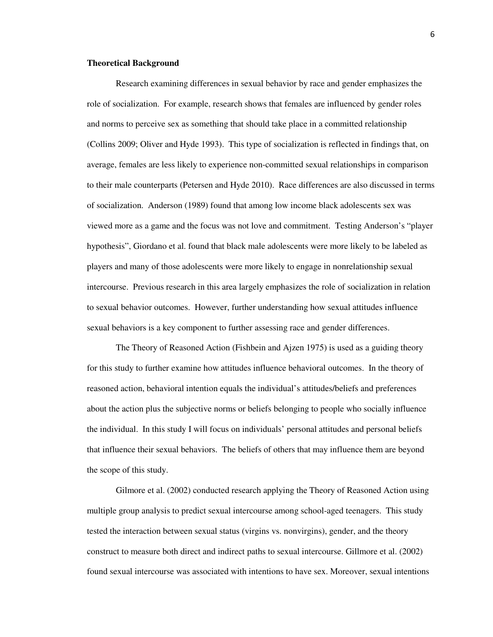#### **Theoretical Background**

Research examining differences in sexual behavior by race and gender emphasizes the role of socialization. For example, research shows that females are influenced by gender roles and norms to perceive sex as something that should take place in a committed relationship (Collins 2009; Oliver and Hyde 1993). This type of socialization is reflected in findings that, on average, females are less likely to experience non-committed sexual relationships in comparison to their male counterparts (Petersen and Hyde 2010). Race differences are also discussed in terms of socialization. Anderson (1989) found that among low income black adolescents sex was viewed more as a game and the focus was not love and commitment. Testing Anderson's "player hypothesis", Giordano et al. found that black male adolescents were more likely to be labeled as players and many of those adolescents were more likely to engage in nonrelationship sexual intercourse. Previous research in this area largely emphasizes the role of socialization in relation to sexual behavior outcomes. However, further understanding how sexual attitudes influence sexual behaviors is a key component to further assessing race and gender differences.

 The Theory of Reasoned Action (Fishbein and Ajzen 1975) is used as a guiding theory for this study to further examine how attitudes influence behavioral outcomes. In the theory of reasoned action, behavioral intention equals the individual's attitudes/beliefs and preferences about the action plus the subjective norms or beliefs belonging to people who socially influence the individual. In this study I will focus on individuals' personal attitudes and personal beliefs that influence their sexual behaviors. The beliefs of others that may influence them are beyond the scope of this study.

 Gilmore et al. (2002) conducted research applying the Theory of Reasoned Action using multiple group analysis to predict sexual intercourse among school-aged teenagers. This study tested the interaction between sexual status (virgins vs. nonvirgins), gender, and the theory construct to measure both direct and indirect paths to sexual intercourse. Gillmore et al. (2002) found sexual intercourse was associated with intentions to have sex. Moreover, sexual intentions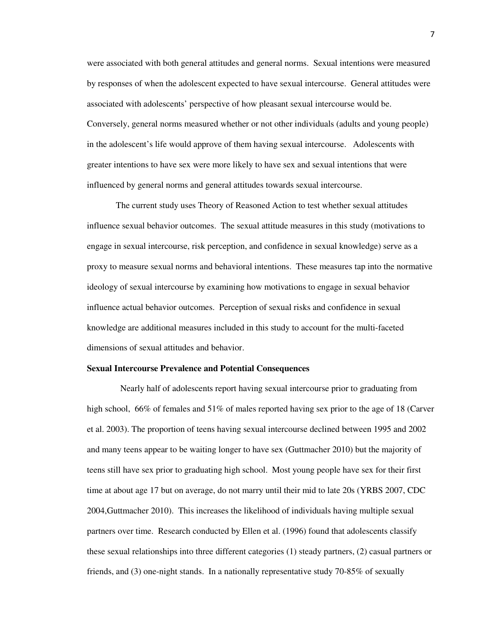were associated with both general attitudes and general norms. Sexual intentions were measured by responses of when the adolescent expected to have sexual intercourse. General attitudes were associated with adolescents' perspective of how pleasant sexual intercourse would be. Conversely, general norms measured whether or not other individuals (adults and young people) in the adolescent's life would approve of them having sexual intercourse. Adolescents with greater intentions to have sex were more likely to have sex and sexual intentions that were influenced by general norms and general attitudes towards sexual intercourse.

 The current study uses Theory of Reasoned Action to test whether sexual attitudes influence sexual behavior outcomes. The sexual attitude measures in this study (motivations to engage in sexual intercourse, risk perception, and confidence in sexual knowledge) serve as a proxy to measure sexual norms and behavioral intentions. These measures tap into the normative ideology of sexual intercourse by examining how motivations to engage in sexual behavior influence actual behavior outcomes. Perception of sexual risks and confidence in sexual knowledge are additional measures included in this study to account for the multi-faceted dimensions of sexual attitudes and behavior.

#### **Sexual Intercourse Prevalence and Potential Consequences**

 Nearly half of adolescents report having sexual intercourse prior to graduating from high school, 66% of females and 51% of males reported having sex prior to the age of 18 (Carver et al. 2003). The proportion of teens having sexual intercourse declined between 1995 and 2002 and many teens appear to be waiting longer to have sex (Guttmacher 2010) but the majority of teens still have sex prior to graduating high school. Most young people have sex for their first time at about age 17 but on average, do not marry until their mid to late 20s (YRBS 2007, CDC 2004,Guttmacher 2010). This increases the likelihood of individuals having multiple sexual partners over time. Research conducted by Ellen et al. (1996) found that adolescents classify these sexual relationships into three different categories (1) steady partners, (2) casual partners or friends, and (3) one-night stands. In a nationally representative study 70-85% of sexually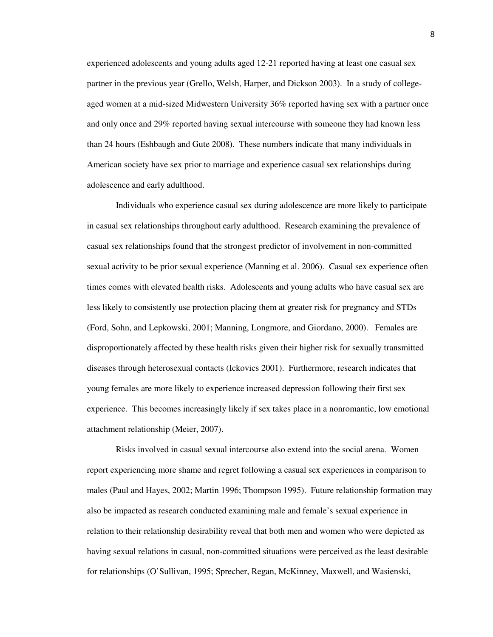experienced adolescents and young adults aged 12-21 reported having at least one casual sex partner in the previous year (Grello, Welsh, Harper, and Dickson 2003). In a study of collegeaged women at a mid-sized Midwestern University 36% reported having sex with a partner once and only once and 29% reported having sexual intercourse with someone they had known less than 24 hours (Eshbaugh and Gute 2008). These numbers indicate that many individuals in American society have sex prior to marriage and experience casual sex relationships during adolescence and early adulthood.

 Individuals who experience casual sex during adolescence are more likely to participate in casual sex relationships throughout early adulthood. Research examining the prevalence of casual sex relationships found that the strongest predictor of involvement in non-committed sexual activity to be prior sexual experience (Manning et al. 2006). Casual sex experience often times comes with elevated health risks. Adolescents and young adults who have casual sex are less likely to consistently use protection placing them at greater risk for pregnancy and STDs (Ford, Sohn, and Lepkowski, 2001; Manning, Longmore, and Giordano, 2000). Females are disproportionately affected by these health risks given their higher risk for sexually transmitted diseases through heterosexual contacts (Ickovics 2001). Furthermore, research indicates that young females are more likely to experience increased depression following their first sex experience. This becomes increasingly likely if sex takes place in a nonromantic, low emotional attachment relationship (Meier, 2007).

 Risks involved in casual sexual intercourse also extend into the social arena. Women report experiencing more shame and regret following a casual sex experiences in comparison to males (Paul and Hayes, 2002; Martin 1996; Thompson 1995). Future relationship formation may also be impacted as research conducted examining male and female's sexual experience in relation to their relationship desirability reveal that both men and women who were depicted as having sexual relations in casual, non-committed situations were perceived as the least desirable for relationships (O'Sullivan, 1995; Sprecher, Regan, McKinney, Maxwell, and Wasienski,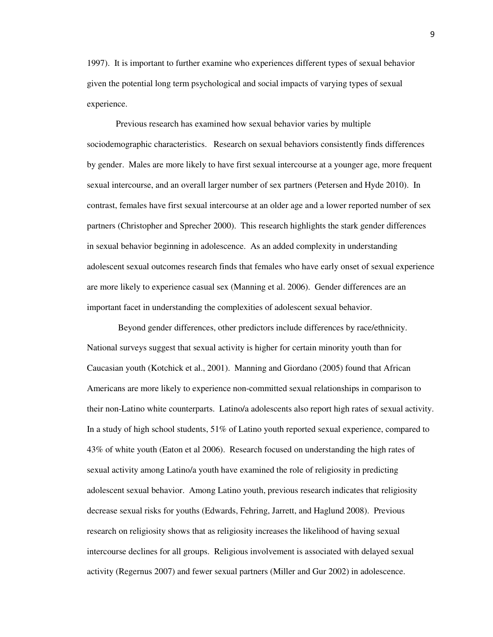1997). It is important to further examine who experiences different types of sexual behavior given the potential long term psychological and social impacts of varying types of sexual experience.

Previous research has examined how sexual behavior varies by multiple sociodemographic characteristics. Research on sexual behaviors consistently finds differences by gender. Males are more likely to have first sexual intercourse at a younger age, more frequent sexual intercourse, and an overall larger number of sex partners (Petersen and Hyde 2010). In contrast, females have first sexual intercourse at an older age and a lower reported number of sex partners (Christopher and Sprecher 2000). This research highlights the stark gender differences in sexual behavior beginning in adolescence. As an added complexity in understanding adolescent sexual outcomes research finds that females who have early onset of sexual experience are more likely to experience casual sex (Manning et al. 2006). Gender differences are an important facet in understanding the complexities of adolescent sexual behavior.

 Beyond gender differences, other predictors include differences by race/ethnicity. National surveys suggest that sexual activity is higher for certain minority youth than for Caucasian youth (Kotchick et al., 2001). Manning and Giordano (2005) found that African Americans are more likely to experience non-committed sexual relationships in comparison to their non-Latino white counterparts. Latino/a adolescents also report high rates of sexual activity. In a study of high school students, 51% of Latino youth reported sexual experience, compared to 43% of white youth (Eaton et al 2006). Research focused on understanding the high rates of sexual activity among Latino/a youth have examined the role of religiosity in predicting adolescent sexual behavior. Among Latino youth, previous research indicates that religiosity decrease sexual risks for youths (Edwards, Fehring, Jarrett, and Haglund 2008). Previous research on religiosity shows that as religiosity increases the likelihood of having sexual intercourse declines for all groups. Religious involvement is associated with delayed sexual activity (Regernus 2007) and fewer sexual partners (Miller and Gur 2002) in adolescence.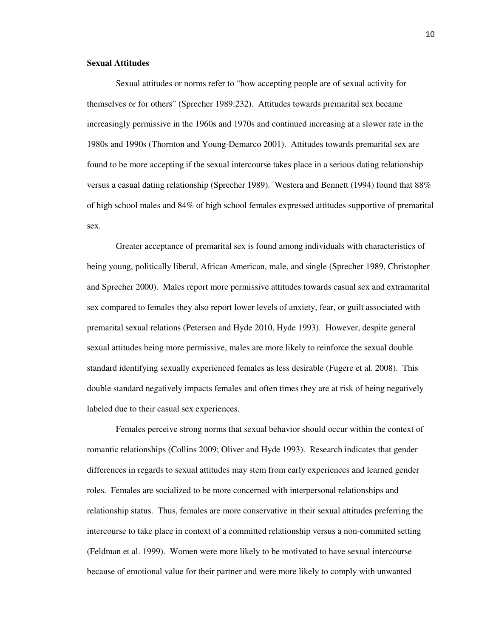#### **Sexual Attitudes**

Sexual attitudes or norms refer to "how accepting people are of sexual activity for themselves or for others" (Sprecher 1989:232). Attitudes towards premarital sex became increasingly permissive in the 1960s and 1970s and continued increasing at a slower rate in the 1980s and 1990s (Thornton and Young-Demarco 2001). Attitudes towards premarital sex are found to be more accepting if the sexual intercourse takes place in a serious dating relationship versus a casual dating relationship (Sprecher 1989). Westera and Bennett (1994) found that 88% of high school males and 84% of high school females expressed attitudes supportive of premarital sex.

Greater acceptance of premarital sex is found among individuals with characteristics of being young, politically liberal, African American, male, and single (Sprecher 1989, Christopher and Sprecher 2000). Males report more permissive attitudes towards casual sex and extramarital sex compared to females they also report lower levels of anxiety, fear, or guilt associated with premarital sexual relations (Petersen and Hyde 2010, Hyde 1993). However, despite general sexual attitudes being more permissive, males are more likely to reinforce the sexual double standard identifying sexually experienced females as less desirable (Fugere et al. 2008). This double standard negatively impacts females and often times they are at risk of being negatively labeled due to their casual sex experiences.

Females perceive strong norms that sexual behavior should occur within the context of romantic relationships (Collins 2009; Oliver and Hyde 1993). Research indicates that gender differences in regards to sexual attitudes may stem from early experiences and learned gender roles. Females are socialized to be more concerned with interpersonal relationships and relationship status. Thus, females are more conservative in their sexual attitudes preferring the intercourse to take place in context of a committed relationship versus a non-commited setting (Feldman et al. 1999). Women were more likely to be motivated to have sexual intercourse because of emotional value for their partner and were more likely to comply with unwanted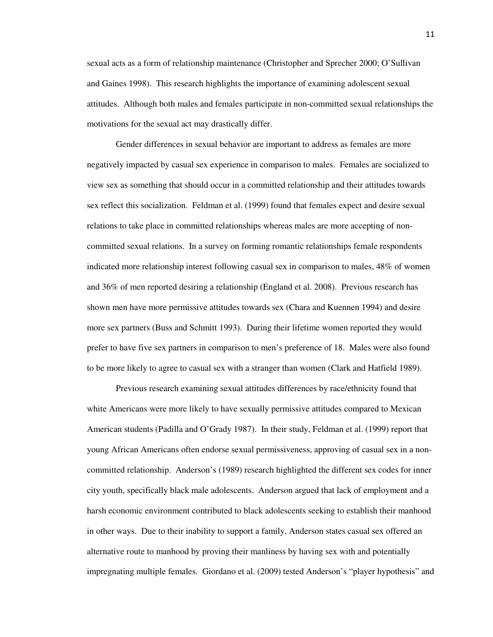sexual acts as a form of relationship maintenance (Christopher and Sprecher 2000; O'Sullivan and Gaines 1998). This research highlights the importance of examining adolescent sexual attitudes. Although both males and females participate in non-committed sexual relationships the motivations for the sexual act may drastically differ.

 Gender differences in sexual behavior are important to address as females are more negatively impacted by casual sex experience in comparison to males. Females are socialized to view sex as something that should occur in a committed relationship and their attitudes towards sex reflect this socialization. Feldman et al. (1999) found that females expect and desire sexual relations to take place in committed relationships whereas males are more accepting of noncommitted sexual relations. In a survey on forming romantic relationships female respondents indicated more relationship interest following casual sex in comparison to males, 48% of women and 36% of men reported desiring a relationship (England et al. 2008). Previous research has shown men have more permissive attitudes towards sex (Chara and Kuennen 1994) and desire more sex partners (Buss and Schmitt 1993). During their lifetime women reported they would prefer to have five sex partners in comparison to men's preference of 18. Males were also found to be more likely to agree to casual sex with a stranger than women (Clark and Hatfield 1989).

 Previous research examining sexual attitudes differences by race/ethnicity found that white Americans were more likely to have sexually permissive attitudes compared to Mexican American students (Padilla and O'Grady 1987). In their study, Feldman et al. (1999) report that young African Americans often endorse sexual permissiveness, approving of casual sex in a noncommitted relationship. Anderson's (1989) research highlighted the different sex codes for inner city youth, specifically black male adolescents. Anderson argued that lack of employment and a harsh economic environment contributed to black adolescents seeking to establish their manhood in other ways. Due to their inability to support a family, Anderson states casual sex offered an alternative route to manhood by proving their manliness by having sex with and potentially impregnating multiple females. Giordano et al. (2009) tested Anderson's "player hypothesis" and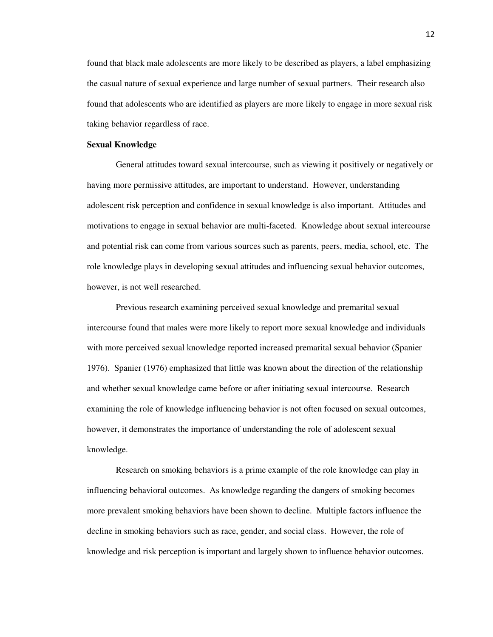found that black male adolescents are more likely to be described as players, a label emphasizing the casual nature of sexual experience and large number of sexual partners. Their research also found that adolescents who are identified as players are more likely to engage in more sexual risk taking behavior regardless of race.

#### **Sexual Knowledge**

General attitudes toward sexual intercourse, such as viewing it positively or negatively or having more permissive attitudes, are important to understand. However, understanding adolescent risk perception and confidence in sexual knowledge is also important. Attitudes and motivations to engage in sexual behavior are multi-faceted.Knowledge about sexual intercourse and potential risk can come from various sources such as parents, peers, media, school, etc. The role knowledge plays in developing sexual attitudes and influencing sexual behavior outcomes, however, is not well researched.

 Previous research examining perceived sexual knowledge and premarital sexual intercourse found that males were more likely to report more sexual knowledge and individuals with more perceived sexual knowledge reported increased premarital sexual behavior (Spanier 1976). Spanier (1976) emphasized that little was known about the direction of the relationship and whether sexual knowledge came before or after initiating sexual intercourse. Research examining the role of knowledge influencing behavior is not often focused on sexual outcomes, however, it demonstrates the importance of understanding the role of adolescent sexual knowledge.

 Research on smoking behaviors is a prime example of the role knowledge can play in influencing behavioral outcomes. As knowledge regarding the dangers of smoking becomes more prevalent smoking behaviors have been shown to decline. Multiple factors influence the decline in smoking behaviors such as race, gender, and social class. However, the role of knowledge and risk perception is important and largely shown to influence behavior outcomes.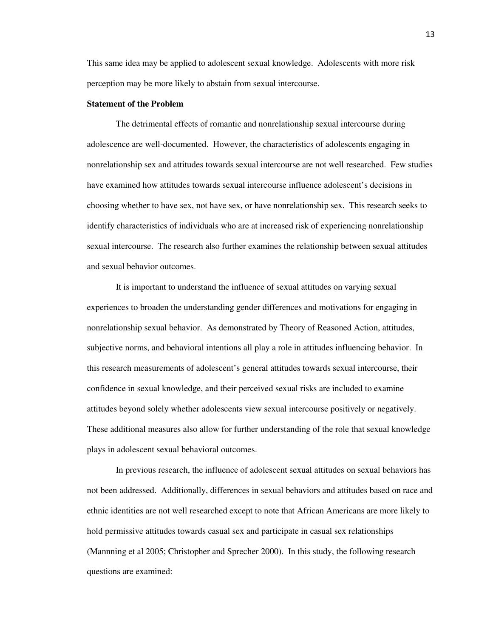This same idea may be applied to adolescent sexual knowledge. Adolescents with more risk perception may be more likely to abstain from sexual intercourse.

#### **Statement of the Problem**

 The detrimental effects of romantic and nonrelationship sexual intercourse during adolescence are well-documented. However, the characteristics of adolescents engaging in nonrelationship sex and attitudes towards sexual intercourse are not well researched. Few studies have examined how attitudes towards sexual intercourse influence adolescent's decisions in choosing whether to have sex, not have sex, or have nonrelationship sex. This research seeks to identify characteristics of individuals who are at increased risk of experiencing nonrelationship sexual intercourse. The research also further examines the relationship between sexual attitudes and sexual behavior outcomes.

 It is important to understand the influence of sexual attitudes on varying sexual experiences to broaden the understanding gender differences and motivations for engaging in nonrelationship sexual behavior. As demonstrated by Theory of Reasoned Action, attitudes, subjective norms, and behavioral intentions all play a role in attitudes influencing behavior. In this research measurements of adolescent's general attitudes towards sexual intercourse, their confidence in sexual knowledge, and their perceived sexual risks are included to examine attitudes beyond solely whether adolescents view sexual intercourse positively or negatively. These additional measures also allow for further understanding of the role that sexual knowledge plays in adolescent sexual behavioral outcomes.

In previous research, the influence of adolescent sexual attitudes on sexual behaviors has not been addressed. Additionally, differences in sexual behaviors and attitudes based on race and ethnic identities are not well researched except to note that African Americans are more likely to hold permissive attitudes towards casual sex and participate in casual sex relationships (Mannning et al 2005; Christopher and Sprecher 2000). In this study, the following research questions are examined: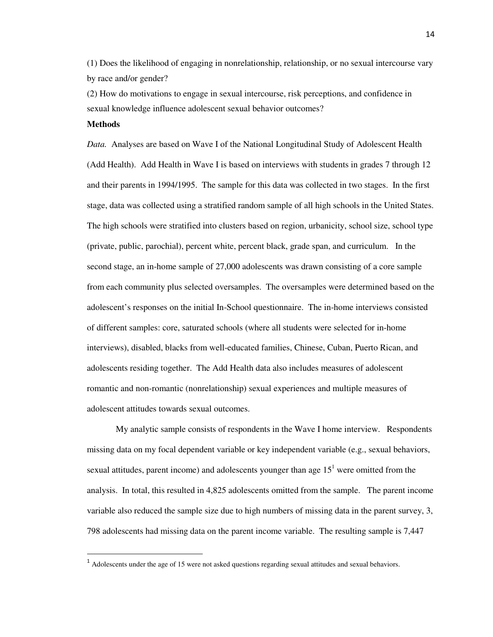(1) Does the likelihood of engaging in nonrelationship, relationship, or no sexual intercourse vary by race and/or gender?

(2) How do motivations to engage in sexual intercourse, risk perceptions, and confidence in sexual knowledge influence adolescent sexual behavior outcomes?

#### **Methods**

-

*Data.* Analyses are based on Wave I of the National Longitudinal Study of Adolescent Health (Add Health). Add Health in Wave I is based on interviews with students in grades 7 through 12 and their parents in 1994/1995. The sample for this data was collected in two stages. In the first stage, data was collected using a stratified random sample of all high schools in the United States. The high schools were stratified into clusters based on region, urbanicity, school size, school type (private, public, parochial), percent white, percent black, grade span, and curriculum. In the second stage, an in-home sample of 27,000 adolescents was drawn consisting of a core sample from each community plus selected oversamples. The oversamples were determined based on the adolescent's responses on the initial In-School questionnaire. The in-home interviews consisted of different samples: core, saturated schools (where all students were selected for in-home interviews), disabled, blacks from well-educated families, Chinese, Cuban, Puerto Rican, and adolescents residing together. The Add Health data also includes measures of adolescent romantic and non-romantic (nonrelationship) sexual experiences and multiple measures of adolescent attitudes towards sexual outcomes.

 My analytic sample consists of respondents in the Wave I home interview. Respondents missing data on my focal dependent variable or key independent variable (e.g., sexual behaviors, sexual attitudes, parent income) and adolescents younger than age  $15<sup>1</sup>$  were omitted from the analysis. In total, this resulted in 4,825 adolescents omitted from the sample. The parent income variable also reduced the sample size due to high numbers of missing data in the parent survey, 3, 798 adolescents had missing data on the parent income variable. The resulting sample is 7,447

 $<sup>1</sup>$  Adolescents under the age of 15 were not asked questions regarding sexual attitudes and sexual behaviors.</sup>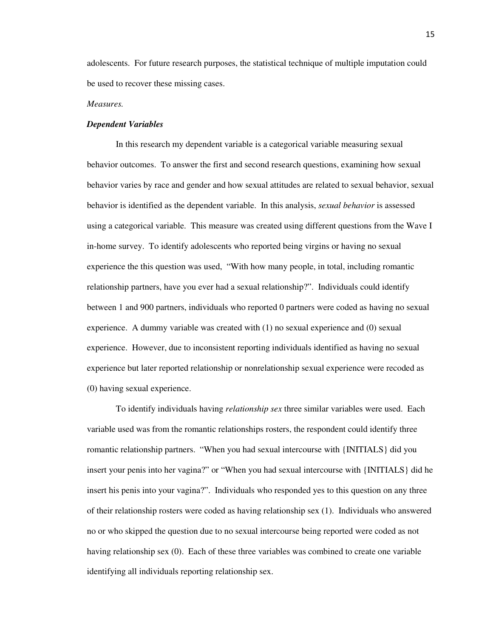adolescents. For future research purposes, the statistical technique of multiple imputation could be used to recover these missing cases.

#### *Measures.*

#### *Dependent Variables*

 In this research my dependent variable is a categorical variable measuring sexual behavior outcomes. To answer the first and second research questions, examining how sexual behavior varies by race and gender and how sexual attitudes are related to sexual behavior, sexual behavior is identified as the dependent variable. In this analysis, *sexual behavior* is assessed using a categorical variable. This measure was created using different questions from the Wave I in-home survey. To identify adolescents who reported being virgins or having no sexual experience the this question was used, "With how many people, in total, including romantic relationship partners, have you ever had a sexual relationship?". Individuals could identify between 1 and 900 partners, individuals who reported 0 partners were coded as having no sexual experience. A dummy variable was created with (1) no sexual experience and (0) sexual experience. However, due to inconsistent reporting individuals identified as having no sexual experience but later reported relationship or nonrelationship sexual experience were recoded as (0) having sexual experience.

To identify individuals having *relationship sex* three similar variables were used. Each variable used was from the romantic relationships rosters, the respondent could identify three romantic relationship partners. "When you had sexual intercourse with {INITIALS} did you insert your penis into her vagina?" or "When you had sexual intercourse with {INITIALS} did he insert his penis into your vagina?". Individuals who responded yes to this question on any three of their relationship rosters were coded as having relationship sex (1). Individuals who answered no or who skipped the question due to no sexual intercourse being reported were coded as not having relationship sex (0). Each of these three variables was combined to create one variable identifying all individuals reporting relationship sex.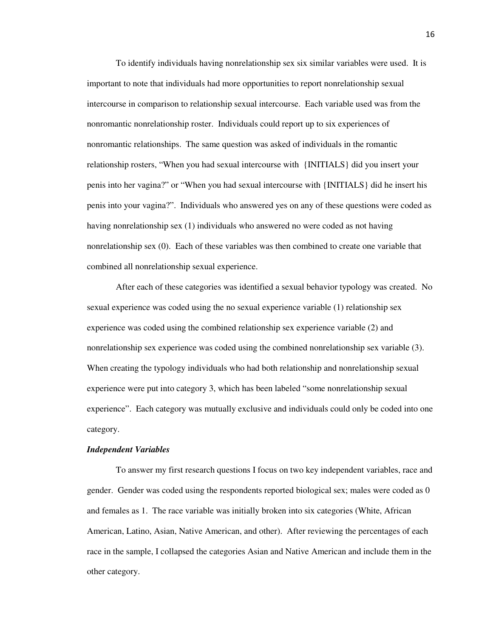To identify individuals having nonrelationship sex six similar variables were used. It is important to note that individuals had more opportunities to report nonrelationship sexual intercourse in comparison to relationship sexual intercourse. Each variable used was from the nonromantic nonrelationship roster. Individuals could report up to six experiences of nonromantic relationships. The same question was asked of individuals in the romantic relationship rosters, "When you had sexual intercourse with {INITIALS} did you insert your penis into her vagina?" or "When you had sexual intercourse with {INITIALS} did he insert his penis into your vagina?". Individuals who answered yes on any of these questions were coded as having nonrelationship sex (1) individuals who answered no were coded as not having nonrelationship sex (0). Each of these variables was then combined to create one variable that combined all nonrelationship sexual experience.

After each of these categories was identified a sexual behavior typology was created. No sexual experience was coded using the no sexual experience variable (1) relationship sex experience was coded using the combined relationship sex experience variable (2) and nonrelationship sex experience was coded using the combined nonrelationship sex variable (3). When creating the typology individuals who had both relationship and nonrelationship sexual experience were put into category 3, which has been labeled "some nonrelationship sexual experience". Each category was mutually exclusive and individuals could only be coded into one category.

#### *Independent Variables*

 To answer my first research questions I focus on two key independent variables, race and gender. Gender was coded using the respondents reported biological sex; males were coded as 0 and females as 1. The race variable was initially broken into six categories (White, African American, Latino, Asian, Native American, and other). After reviewing the percentages of each race in the sample, I collapsed the categories Asian and Native American and include them in the other category.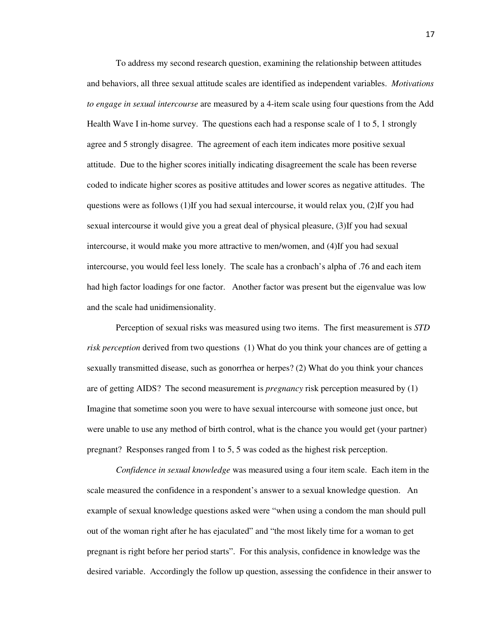To address my second research question, examining the relationship between attitudes and behaviors, all three sexual attitude scales are identified as independent variables. *Motivations to engage in sexual intercourse* are measured by a 4-item scale using four questions from the Add Health Wave I in-home survey. The questions each had a response scale of 1 to 5, 1 strongly agree and 5 strongly disagree. The agreement of each item indicates more positive sexual attitude. Due to the higher scores initially indicating disagreement the scale has been reverse coded to indicate higher scores as positive attitudes and lower scores as negative attitudes. The questions were as follows (1)If you had sexual intercourse, it would relax you, (2)If you had sexual intercourse it would give you a great deal of physical pleasure, (3)If you had sexual intercourse, it would make you more attractive to men/women, and (4)If you had sexual intercourse, you would feel less lonely. The scale has a cronbach's alpha of .76 and each item had high factor loadings for one factor. Another factor was present but the eigenvalue was low and the scale had unidimensionality.

Perception of sexual risks was measured using two items. The first measurement is *STD risk perception* derived from two questions (1) What do you think your chances are of getting a sexually transmitted disease, such as gonorrhea or herpes? (2) What do you think your chances are of getting AIDS? The second measurement is *pregnancy* risk perception measured by (1) Imagine that sometime soon you were to have sexual intercourse with someone just once, but were unable to use any method of birth control, what is the chance you would get (your partner) pregnant? Responses ranged from 1 to 5, 5 was coded as the highest risk perception.

*Confidence in sexual knowledge* was measured using a four item scale. Each item in the scale measured the confidence in a respondent's answer to a sexual knowledge question. An example of sexual knowledge questions asked were "when using a condom the man should pull out of the woman right after he has ejaculated" and "the most likely time for a woman to get pregnant is right before her period starts". For this analysis, confidence in knowledge was the desired variable. Accordingly the follow up question, assessing the confidence in their answer to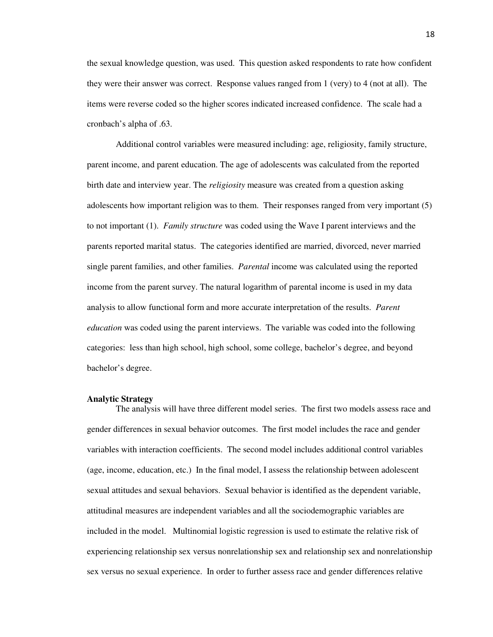the sexual knowledge question, was used. This question asked respondents to rate how confident they were their answer was correct. Response values ranged from 1 (very) to 4 (not at all). The items were reverse coded so the higher scores indicated increased confidence. The scale had a cronbach's alpha of .63.

 Additional control variables were measured including: age, religiosity, family structure, parent income, and parent education. The age of adolescents was calculated from the reported birth date and interview year. The *religiosity* measure was created from a question asking adolescents how important religion was to them. Their responses ranged from very important (5) to not important (1). *Family structure* was coded using the Wave I parent interviews and the parents reported marital status. The categories identified are married, divorced, never married single parent families, and other families. *Parental* income was calculated using the reported income from the parent survey. The natural logarithm of parental income is used in my data analysis to allow functional form and more accurate interpretation of the results. *Parent education* was coded using the parent interviews. The variable was coded into the following categories: less than high school, high school, some college, bachelor's degree, and beyond bachelor's degree.

#### **Analytic Strategy**

The analysis will have three different model series. The first two models assess race and gender differences in sexual behavior outcomes. The first model includes the race and gender variables with interaction coefficients. The second model includes additional control variables (age, income, education, etc.) In the final model, I assess the relationship between adolescent sexual attitudes and sexual behaviors. Sexual behavior is identified as the dependent variable, attitudinal measures are independent variables and all the sociodemographic variables are included in the model. Multinomial logistic regression is used to estimate the relative risk of experiencing relationship sex versus nonrelationship sex and relationship sex and nonrelationship sex versus no sexual experience. In order to further assess race and gender differences relative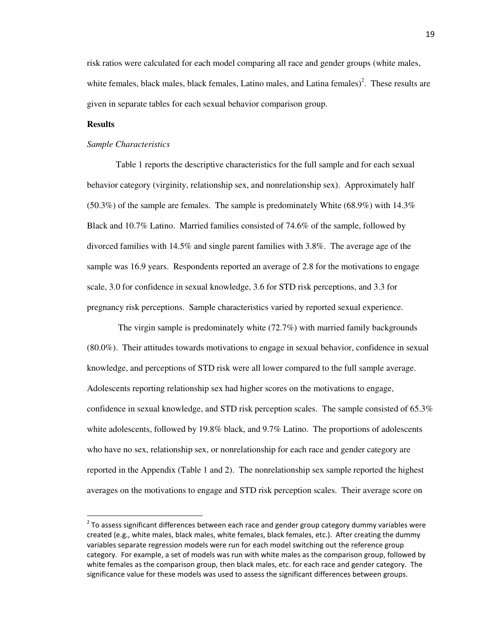risk ratios were calculated for each model comparing all race and gender groups (white males, white females, black males, black females, Latino males, and Latina females $)^2$ . These results are given in separate tables for each sexual behavior comparison group.

#### **Results**

 $\overline{a}$ 

#### *Sample Characteristics*

 Table 1 reports the descriptive characteristics for the full sample and for each sexual behavior category (virginity, relationship sex, and nonrelationship sex). Approximately half  $(50.3\%)$  of the sample are females. The sample is predominately White  $(68.9\%)$  with  $14.3\%$ Black and 10.7% Latino. Married families consisted of 74.6% of the sample, followed by divorced families with 14.5% and single parent families with 3.8%. The average age of the sample was 16.9 years. Respondents reported an average of 2.8 for the motivations to engage scale, 3.0 for confidence in sexual knowledge, 3.6 for STD risk perceptions, and 3.3 for pregnancy risk perceptions. Sample characteristics varied by reported sexual experience.

 The virgin sample is predominately white (72.7%) with married family backgrounds (80.0%). Their attitudes towards motivations to engage in sexual behavior, confidence in sexual knowledge, and perceptions of STD risk were all lower compared to the full sample average. Adolescents reporting relationship sex had higher scores on the motivations to engage, confidence in sexual knowledge, and STD risk perception scales. The sample consisted of 65.3% white adolescents, followed by 19.8% black, and 9.7% Latino. The proportions of adolescents who have no sex, relationship sex, or nonrelationship for each race and gender category are reported in the Appendix (Table 1 and 2). The nonrelationship sex sample reported the highest averages on the motivations to engage and STD risk perception scales. Their average score on

 $2$  To assess significant differences between each race and gender group category dummy variables were created (e.g., white males, black males, white females, black females, etc.). After creating the dummy variables separate regression models were run for each model switching out the reference group category. For example, a set of models was run with white males as the comparison group, followed by white females as the comparison group, then black males, etc. for each race and gender category. The significance value for these models was used to assess the significant differences between groups.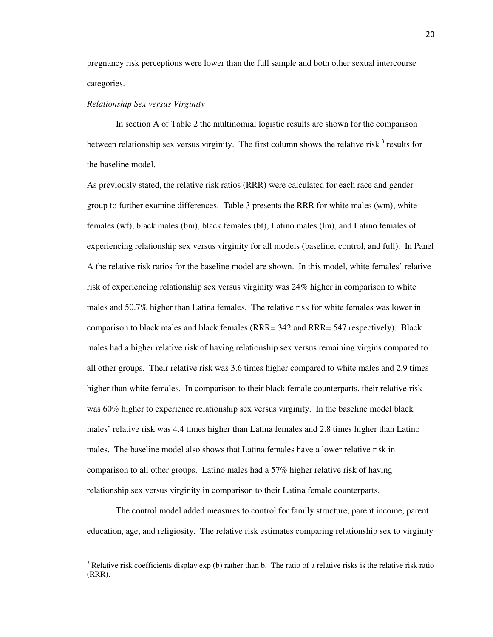pregnancy risk perceptions were lower than the full sample and both other sexual intercourse categories.

#### *Relationship Sex versus Virginity*

l

 In section A of Table 2 the multinomial logistic results are shown for the comparison between relationship sex versus virginity. The first column shows the relative risk  $3$  results for the baseline model.

As previously stated, the relative risk ratios (RRR) were calculated for each race and gender group to further examine differences. Table 3 presents the RRR for white males (wm), white females (wf), black males (bm), black females (bf), Latino males (lm), and Latino females of experiencing relationship sex versus virginity for all models (baseline, control, and full). In Panel A the relative risk ratios for the baseline model are shown. In this model, white females' relative risk of experiencing relationship sex versus virginity was 24% higher in comparison to white males and 50.7% higher than Latina females. The relative risk for white females was lower in comparison to black males and black females (RRR=.342 and RRR=.547 respectively). Black males had a higher relative risk of having relationship sex versus remaining virgins compared to all other groups. Their relative risk was 3.6 times higher compared to white males and 2.9 times higher than white females. In comparison to their black female counterparts, their relative risk was 60% higher to experience relationship sex versus virginity. In the baseline model black males' relative risk was 4.4 times higher than Latina females and 2.8 times higher than Latino males. The baseline model also shows that Latina females have a lower relative risk in comparison to all other groups. Latino males had a 57% higher relative risk of having relationship sex versus virginity in comparison to their Latina female counterparts.

 The control model added measures to control for family structure, parent income, parent education, age, and religiosity. The relative risk estimates comparing relationship sex to virginity

<sup>&</sup>lt;sup>3</sup> Relative risk coefficients display exp (b) rather than b. The ratio of a relative risks is the relative risk ratio (RRR).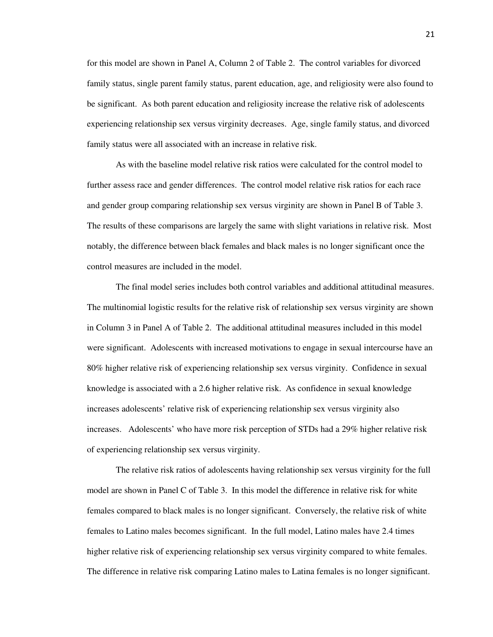for this model are shown in Panel A, Column 2 of Table 2. The control variables for divorced family status, single parent family status, parent education, age, and religiosity were also found to be significant. As both parent education and religiosity increase the relative risk of adolescents experiencing relationship sex versus virginity decreases. Age, single family status, and divorced family status were all associated with an increase in relative risk.

 As with the baseline model relative risk ratios were calculated for the control model to further assess race and gender differences. The control model relative risk ratios for each race and gender group comparing relationship sex versus virginity are shown in Panel B of Table 3. The results of these comparisons are largely the same with slight variations in relative risk. Most notably, the difference between black females and black males is no longer significant once the control measures are included in the model.

 The final model series includes both control variables and additional attitudinal measures. The multinomial logistic results for the relative risk of relationship sex versus virginity are shown in Column 3 in Panel A of Table 2. The additional attitudinal measures included in this model were significant. Adolescents with increased motivations to engage in sexual intercourse have an 80% higher relative risk of experiencing relationship sex versus virginity. Confidence in sexual knowledge is associated with a 2.6 higher relative risk. As confidence in sexual knowledge increases adolescents' relative risk of experiencing relationship sex versus virginity also increases. Adolescents' who have more risk perception of STDs had a 29% higher relative risk of experiencing relationship sex versus virginity.

 The relative risk ratios of adolescents having relationship sex versus virginity for the full model are shown in Panel C of Table 3. In this model the difference in relative risk for white females compared to black males is no longer significant. Conversely, the relative risk of white females to Latino males becomes significant. In the full model, Latino males have 2.4 times higher relative risk of experiencing relationship sex versus virginity compared to white females. The difference in relative risk comparing Latino males to Latina females is no longer significant.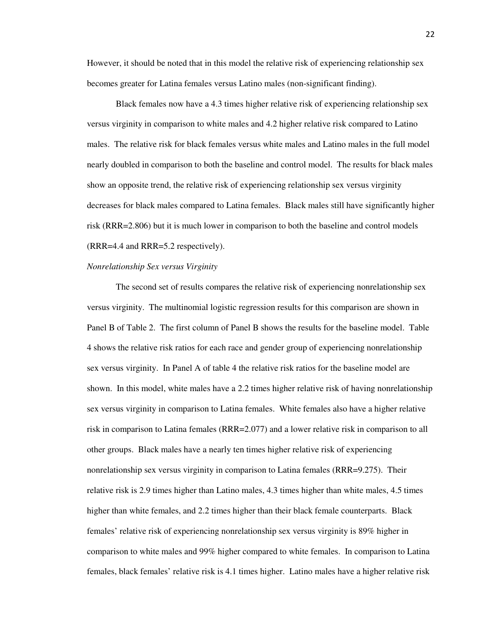However, it should be noted that in this model the relative risk of experiencing relationship sex becomes greater for Latina females versus Latino males (non-significant finding).

 Black females now have a 4.3 times higher relative risk of experiencing relationship sex versus virginity in comparison to white males and 4.2 higher relative risk compared to Latino males. The relative risk for black females versus white males and Latino males in the full model nearly doubled in comparison to both the baseline and control model. The results for black males show an opposite trend, the relative risk of experiencing relationship sex versus virginity decreases for black males compared to Latina females. Black males still have significantly higher risk (RRR=2.806) but it is much lower in comparison to both the baseline and control models (RRR=4.4 and RRR=5.2 respectively).

#### *Nonrelationship Sex versus Virginity*

 The second set of results compares the relative risk of experiencing nonrelationship sex versus virginity. The multinomial logistic regression results for this comparison are shown in Panel B of Table 2. The first column of Panel B shows the results for the baseline model. Table 4 shows the relative risk ratios for each race and gender group of experiencing nonrelationship sex versus virginity. In Panel A of table 4 the relative risk ratios for the baseline model are shown. In this model, white males have a 2.2 times higher relative risk of having nonrelationship sex versus virginity in comparison to Latina females. White females also have a higher relative risk in comparison to Latina females (RRR=2.077) and a lower relative risk in comparison to all other groups. Black males have a nearly ten times higher relative risk of experiencing nonrelationship sex versus virginity in comparison to Latina females (RRR=9.275). Their relative risk is 2.9 times higher than Latino males, 4.3 times higher than white males, 4.5 times higher than white females, and 2.2 times higher than their black female counterparts. Black females' relative risk of experiencing nonrelationship sex versus virginity is 89% higher in comparison to white males and 99% higher compared to white females. In comparison to Latina females, black females' relative risk is 4.1 times higher. Latino males have a higher relative risk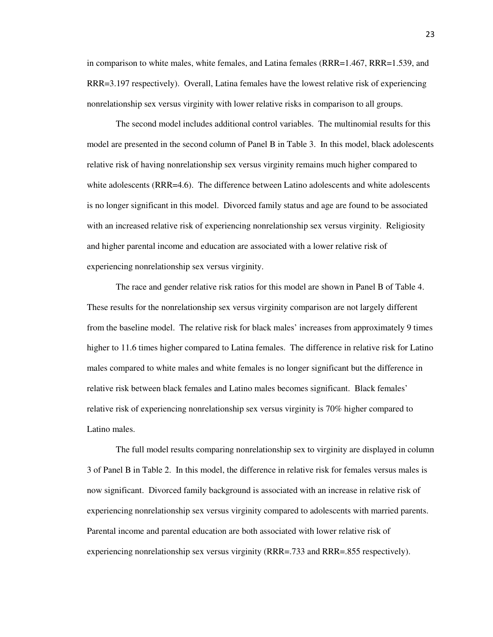in comparison to white males, white females, and Latina females (RRR=1.467, RRR=1.539, and RRR=3.197 respectively). Overall, Latina females have the lowest relative risk of experiencing nonrelationship sex versus virginity with lower relative risks in comparison to all groups.

 The second model includes additional control variables. The multinomial results for this model are presented in the second column of Panel B in Table 3. In this model, black adolescents relative risk of having nonrelationship sex versus virginity remains much higher compared to white adolescents (RRR=4.6). The difference between Latino adolescents and white adolescents is no longer significant in this model. Divorced family status and age are found to be associated with an increased relative risk of experiencing nonrelationship sex versus virginity. Religiosity and higher parental income and education are associated with a lower relative risk of experiencing nonrelationship sex versus virginity.

 The race and gender relative risk ratios for this model are shown in Panel B of Table 4. These results for the nonrelationship sex versus virginity comparison are not largely different from the baseline model. The relative risk for black males' increases from approximately 9 times higher to 11.6 times higher compared to Latina females. The difference in relative risk for Latino males compared to white males and white females is no longer significant but the difference in relative risk between black females and Latino males becomes significant. Black females' relative risk of experiencing nonrelationship sex versus virginity is 70% higher compared to Latino males.

 The full model results comparing nonrelationship sex to virginity are displayed in column 3 of Panel B in Table 2. In this model, the difference in relative risk for females versus males is now significant. Divorced family background is associated with an increase in relative risk of experiencing nonrelationship sex versus virginity compared to adolescents with married parents. Parental income and parental education are both associated with lower relative risk of experiencing nonrelationship sex versus virginity (RRR=.733 and RRR=.855 respectively).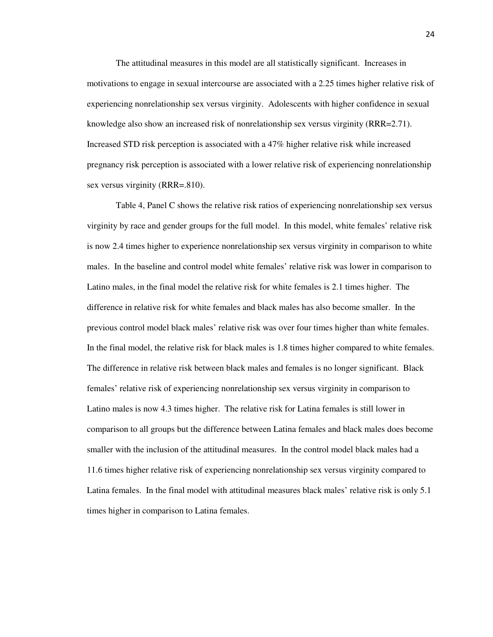The attitudinal measures in this model are all statistically significant. Increases in motivations to engage in sexual intercourse are associated with a 2.25 times higher relative risk of experiencing nonrelationship sex versus virginity. Adolescents with higher confidence in sexual knowledge also show an increased risk of nonrelationship sex versus virginity (RRR=2.71). Increased STD risk perception is associated with a 47% higher relative risk while increased pregnancy risk perception is associated with a lower relative risk of experiencing nonrelationship sex versus virginity (RRR=.810).

 Table 4, Panel C shows the relative risk ratios of experiencing nonrelationship sex versus virginity by race and gender groups for the full model. In this model, white females' relative risk is now 2.4 times higher to experience nonrelationship sex versus virginity in comparison to white males. In the baseline and control model white females' relative risk was lower in comparison to Latino males, in the final model the relative risk for white females is 2.1 times higher. The difference in relative risk for white females and black males has also become smaller. In the previous control model black males' relative risk was over four times higher than white females. In the final model, the relative risk for black males is 1.8 times higher compared to white females. The difference in relative risk between black males and females is no longer significant. Black females' relative risk of experiencing nonrelationship sex versus virginity in comparison to Latino males is now 4.3 times higher. The relative risk for Latina females is still lower in comparison to all groups but the difference between Latina females and black males does become smaller with the inclusion of the attitudinal measures. In the control model black males had a 11.6 times higher relative risk of experiencing nonrelationship sex versus virginity compared to Latina females. In the final model with attitudinal measures black males' relative risk is only 5.1 times higher in comparison to Latina females.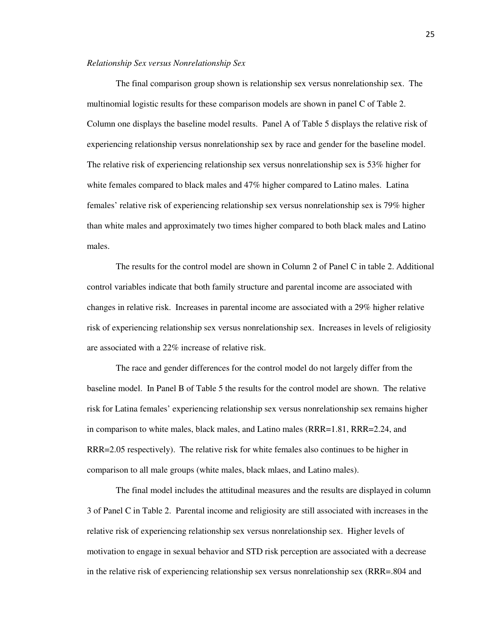#### *Relationship Sex versus Nonrelationship Sex*

The final comparison group shown is relationship sex versus nonrelationship sex. The multinomial logistic results for these comparison models are shown in panel C of Table 2. Column one displays the baseline model results. Panel A of Table 5 displays the relative risk of experiencing relationship versus nonrelationship sex by race and gender for the baseline model. The relative risk of experiencing relationship sex versus nonrelationship sex is 53% higher for white females compared to black males and 47% higher compared to Latino males. Latina females' relative risk of experiencing relationship sex versus nonrelationship sex is 79% higher than white males and approximately two times higher compared to both black males and Latino males.

 The results for the control model are shown in Column 2 of Panel C in table 2. Additional control variables indicate that both family structure and parental income are associated with changes in relative risk. Increases in parental income are associated with a 29% higher relative risk of experiencing relationship sex versus nonrelationship sex. Increases in levels of religiosity are associated with a 22% increase of relative risk.

 The race and gender differences for the control model do not largely differ from the baseline model. In Panel B of Table 5 the results for the control model are shown. The relative risk for Latina females' experiencing relationship sex versus nonrelationship sex remains higher in comparison to white males, black males, and Latino males (RRR=1.81, RRR=2.24, and RRR=2.05 respectively). The relative risk for white females also continues to be higher in comparison to all male groups (white males, black mlaes, and Latino males).

 The final model includes the attitudinal measures and the results are displayed in column 3 of Panel C in Table 2. Parental income and religiosity are still associated with increases in the relative risk of experiencing relationship sex versus nonrelationship sex. Higher levels of motivation to engage in sexual behavior and STD risk perception are associated with a decrease in the relative risk of experiencing relationship sex versus nonrelationship sex (RRR=.804 and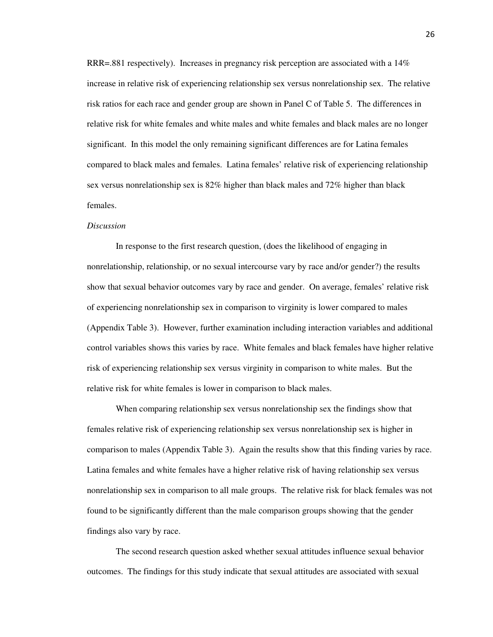RRR=.881 respectively). Increases in pregnancy risk perception are associated with a 14% increase in relative risk of experiencing relationship sex versus nonrelationship sex. The relative risk ratios for each race and gender group are shown in Panel C of Table 5. The differences in relative risk for white females and white males and white females and black males are no longer significant. In this model the only remaining significant differences are for Latina females compared to black males and females. Latina females' relative risk of experiencing relationship sex versus nonrelationship sex is 82% higher than black males and 72% higher than black females.

#### *Discussion*

In response to the first research question, (does the likelihood of engaging in nonrelationship, relationship, or no sexual intercourse vary by race and/or gender?) the results show that sexual behavior outcomes vary by race and gender. On average, females' relative risk of experiencing nonrelationship sex in comparison to virginity is lower compared to males (Appendix Table 3). However, further examination including interaction variables and additional control variables shows this varies by race. White females and black females have higher relative risk of experiencing relationship sex versus virginity in comparison to white males. But the relative risk for white females is lower in comparison to black males.

 When comparing relationship sex versus nonrelationship sex the findings show that females relative risk of experiencing relationship sex versus nonrelationship sex is higher in comparison to males (Appendix Table 3). Again the results show that this finding varies by race. Latina females and white females have a higher relative risk of having relationship sex versus nonrelationship sex in comparison to all male groups. The relative risk for black females was not found to be significantly different than the male comparison groups showing that the gender findings also vary by race.

 The second research question asked whether sexual attitudes influence sexual behavior outcomes. The findings for this study indicate that sexual attitudes are associated with sexual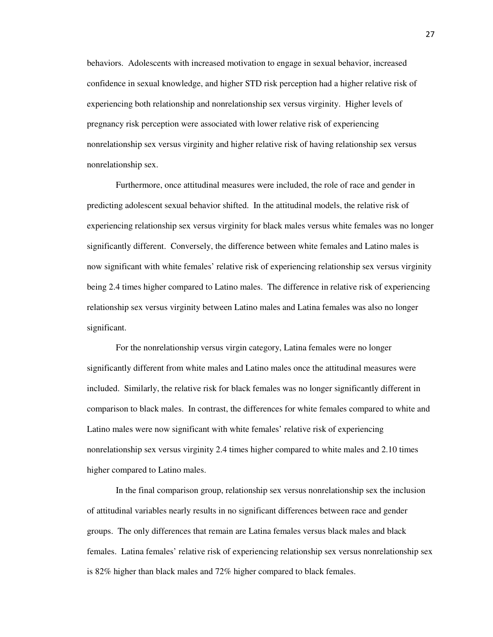behaviors. Adolescents with increased motivation to engage in sexual behavior, increased confidence in sexual knowledge, and higher STD risk perception had a higher relative risk of experiencing both relationship and nonrelationship sex versus virginity. Higher levels of pregnancy risk perception were associated with lower relative risk of experiencing nonrelationship sex versus virginity and higher relative risk of having relationship sex versus nonrelationship sex.

 Furthermore, once attitudinal measures were included, the role of race and gender in predicting adolescent sexual behavior shifted. In the attitudinal models, the relative risk of experiencing relationship sex versus virginity for black males versus white females was no longer significantly different. Conversely, the difference between white females and Latino males is now significant with white females' relative risk of experiencing relationship sex versus virginity being 2.4 times higher compared to Latino males. The difference in relative risk of experiencing relationship sex versus virginity between Latino males and Latina females was also no longer significant.

 For the nonrelationship versus virgin category, Latina females were no longer significantly different from white males and Latino males once the attitudinal measures were included. Similarly, the relative risk for black females was no longer significantly different in comparison to black males. In contrast, the differences for white females compared to white and Latino males were now significant with white females' relative risk of experiencing nonrelationship sex versus virginity 2.4 times higher compared to white males and 2.10 times higher compared to Latino males.

 In the final comparison group, relationship sex versus nonrelationship sex the inclusion of attitudinal variables nearly results in no significant differences between race and gender groups. The only differences that remain are Latina females versus black males and black females. Latina females' relative risk of experiencing relationship sex versus nonrelationship sex is 82% higher than black males and 72% higher compared to black females.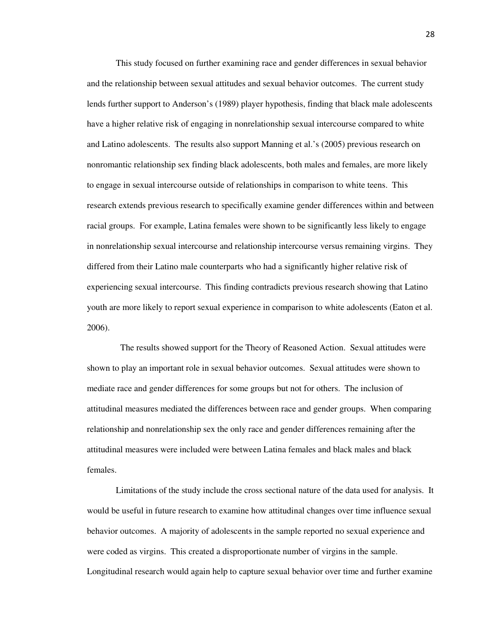This study focused on further examining race and gender differences in sexual behavior and the relationship between sexual attitudes and sexual behavior outcomes. The current study lends further support to Anderson's (1989) player hypothesis, finding that black male adolescents have a higher relative risk of engaging in nonrelationship sexual intercourse compared to white and Latino adolescents. The results also support Manning et al.'s (2005) previous research on nonromantic relationship sex finding black adolescents, both males and females, are more likely to engage in sexual intercourse outside of relationships in comparison to white teens. This research extends previous research to specifically examine gender differences within and between racial groups. For example, Latina females were shown to be significantly less likely to engage in nonrelationship sexual intercourse and relationship intercourse versus remaining virgins. They differed from their Latino male counterparts who had a significantly higher relative risk of experiencing sexual intercourse. This finding contradicts previous research showing that Latino youth are more likely to report sexual experience in comparison to white adolescents (Eaton et al. 2006).

 The results showed support for the Theory of Reasoned Action. Sexual attitudes were shown to play an important role in sexual behavior outcomes. Sexual attitudes were shown to mediate race and gender differences for some groups but not for others. The inclusion of attitudinal measures mediated the differences between race and gender groups. When comparing relationship and nonrelationship sex the only race and gender differences remaining after the attitudinal measures were included were between Latina females and black males and black females.

 Limitations of the study include the cross sectional nature of the data used for analysis. It would be useful in future research to examine how attitudinal changes over time influence sexual behavior outcomes. A majority of adolescents in the sample reported no sexual experience and were coded as virgins. This created a disproportionate number of virgins in the sample. Longitudinal research would again help to capture sexual behavior over time and further examine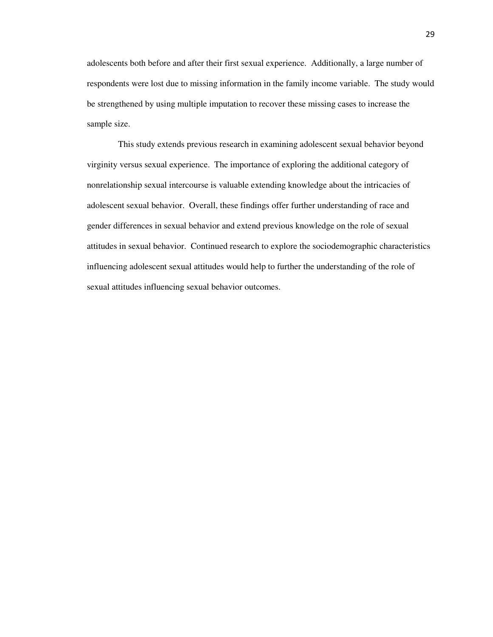adolescents both before and after their first sexual experience. Additionally, a large number of respondents were lost due to missing information in the family income variable. The study would be strengthened by using multiple imputation to recover these missing cases to increase the sample size.

 This study extends previous research in examining adolescent sexual behavior beyond virginity versus sexual experience. The importance of exploring the additional category of nonrelationship sexual intercourse is valuable extending knowledge about the intricacies of adolescent sexual behavior. Overall, these findings offer further understanding of race and gender differences in sexual behavior and extend previous knowledge on the role of sexual attitudes in sexual behavior. Continued research to explore the sociodemographic characteristics influencing adolescent sexual attitudes would help to further the understanding of the role of sexual attitudes influencing sexual behavior outcomes.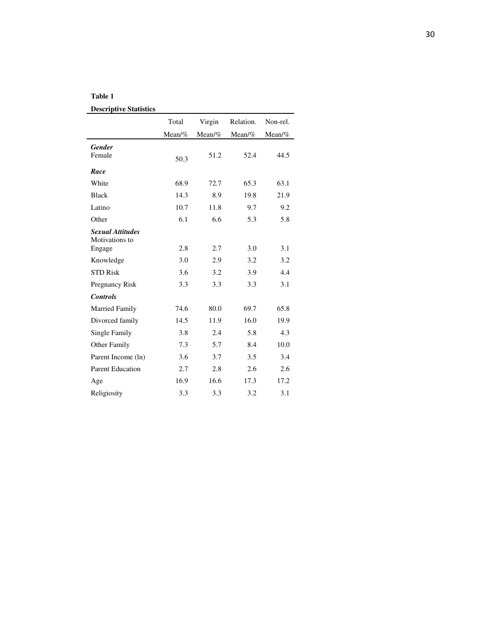#### **Table 1**

|                                                     | Total  | Virgin   | Relation. | Non-rel.  |
|-----------------------------------------------------|--------|----------|-----------|-----------|
|                                                     | Mean/% | $Mean\%$ | $Mean\%$  | Mean/ $%$ |
| <b>Gender</b><br>Female                             | 50.3   | 51.2     | 52.4      | 44.5      |
| Race                                                |        |          |           |           |
| White                                               | 68.9   | 72.7     | 65.3      | 63.1      |
| <b>Black</b>                                        | 14.3   | 8.9      | 19.8      | 21.9      |
| Latino                                              | 10.7   | 11.8     | 9.7       | 9.2       |
| Other                                               | 6.1    | 6.6      | 5.3       | 5.8       |
| <b>Sexual Attitudes</b><br>Motivations to<br>Engage | 2.8    | 2.7      | 3.0       | 3.1       |
| Knowledge                                           | 3.0    | 2.9      | 3.2       | 3.2       |
| <b>STD Risk</b>                                     | 3.6    | 3.2      | 3.9       | 4.4       |
| <b>Pregnancy Risk</b>                               | 3.3    | 3.3      | 3.3       | 3.1       |
| <b>Controls</b>                                     |        |          |           |           |
| Married Family                                      | 74.6   | 80.0     | 69.7      | 65.8      |
| Divorced family                                     | 14.5   | 11.9     | 16.0      | 19.9      |
| Single Family                                       | 3.8    | 2.4      | 5.8       | 4.3       |
| Other Family                                        | 7.3    | 5.7      | 8.4       | 10.0      |
| Parent Income (ln)                                  | 3.6    | 3.7      | 3.5       | 3.4       |
| <b>Parent Education</b>                             | 2.7    | 2.8      | 2.6       | 2.6       |
| Age                                                 | 16.9   | 16.6     | 17.3      | 17.2      |
| Religiosity                                         | 3.3    | 3.3      | 3.2       | 3.1       |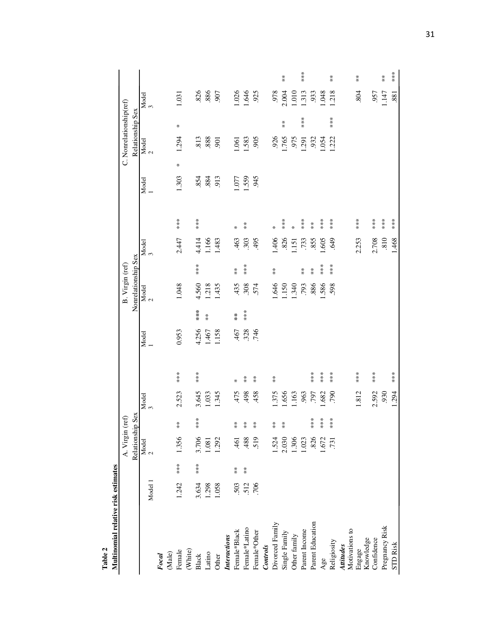| Table 2                             |         |                  |                        |                   |            |                  |                  |                      |                     |                      |            |                      |       |        |                         |                      |            |                      |
|-------------------------------------|---------|------------------|------------------------|-------------------|------------|------------------|------------------|----------------------|---------------------|----------------------|------------|----------------------|-------|--------|-------------------------|----------------------|------------|----------------------|
| Multinomial relative risk estimates |         |                  |                        |                   |            |                  |                  |                      |                     |                      |            |                      |       |        |                         |                      |            |                      |
|                                     |         |                  | A. Virgin (ref)        |                   |            |                  |                  |                      | B. Virgin (ref)     |                      |            |                      |       |        | C. Nonrelationship(ref) |                      |            |                      |
|                                     |         |                  | Relationship           | p Sex             |            |                  |                  |                      | Nonrelationship Sex |                      |            |                      |       |        | Relationship Sex        |                      |            |                      |
|                                     | Model 1 |                  | Model<br>$\frac{2}{3}$ |                   | Model<br>3 |                  | Model            |                      | Model<br>2          |                      | Model<br>3 |                      | Model |        | Model<br>2              |                      | Model<br>3 |                      |
| Focal                               |         |                  |                        |                   |            |                  |                  |                      |                     |                      |            |                      |       |        |                         |                      |            |                      |
| (Male)                              |         |                  |                        |                   |            |                  |                  |                      |                     |                      |            |                      |       |        |                         |                      |            |                      |
| Female                              | 1.242   | ***              | 1.356                  | $\overset{*}{*}$  | 2.523      | ***              | 0.953            |                      | 1.048               |                      | 2.447      | $**$                 | 1.303 | $\ast$ | 1.294                   | $\ast$               | 1.031      |                      |
| (White)                             |         |                  |                        |                   |            |                  |                  |                      |                     |                      |            |                      |       |        |                         |                      |            |                      |
| <b>Black</b>                        | 3.634   | $***$            | 3.706                  | ***               | 3.645      | $***$            | 4.256            |                      | 4.560               | $***$                | 4.414      | ***                  | .854  |        | .813                    |                      | .826       |                      |
| Latino                              | 1.298   |                  | 1.081                  |                   | 1.033      |                  | 1.467            | $\stackrel{*}{\ast}$ | 1.218               |                      | 1.166      |                      | .884  |        | .888                    |                      | .886       |                      |
| Other                               | 1.058   |                  | 1.292                  |                   | 1.345      |                  | 1.158            |                      | 1.435               |                      | 1.483      |                      | 913   |        | $-901$                  |                      | 907        |                      |
| Interactions                        |         |                  |                        |                   |            |                  |                  |                      |                     |                      |            |                      |       |        |                         |                      |            |                      |
| Female*Black                        | 503     | $\overset{*}{*}$ | 461                    | $\stackrel{*}{*}$ | 475        | ∗                | .467             | $\frac{\pi}{\pi}$    | 435                 | $\stackrel{*}{*}$    | 463        | $\star$              | 1.077 |        | .061                    |                      | 1.026      |                      |
| Female*Latino                       | 512     | $\frac{*}{*}$    | 488                    | $\frac{*}{*}$     | 498        | $\frac{*}{*}$    | $.328$<br>$.746$ | $***$                | .308                | ***                  | .303       | $\frac{*}{*}$        | 1.559 |        | 1.583                   |                      | 1.646      |                      |
| Female*Other                        | 706     |                  | 519                    | $\frac{*}{*}$     | 458        | $\frac{*}{*}$    |                  |                      | .574                |                      | 495        |                      | 945   |        | .905                    |                      | 925        |                      |
| Controls                            |         |                  |                        |                   |            |                  |                  |                      |                     |                      |            |                      |       |        |                         |                      |            |                      |
| Divorced Family                     |         |                  | 1.524                  | $\frac{1}{2}$     | 1.375      | $\overset{*}{*}$ |                  |                      | 979                 | $\stackrel{*}{*}$    | 406        | ₩                    |       |        | 926                     |                      | 978        |                      |
| Single Family                       |         |                  | 2.030                  | X                 | 1.656      |                  |                  |                      | 1.150               |                      | .826       | ***                  |       |        | 1.765                   | $\stackrel{*}{\ast}$ | 2.004      | $\stackrel{*}{*}$    |
| Other family                        |         |                  | 1.306                  |                   | 1.163      |                  |                  |                      | 1.340               |                      | $-151$     | ×                    |       |        | 975                     |                      | 010.1      |                      |
| Parent Income                       |         |                  | 1.023                  |                   | .963       |                  |                  |                      | .793                | $\stackrel{*}{\ast}$ | .733       | ***                  |       |        | .291                    | $***$                | 1.313      | ***                  |
| Parent Education                    |         |                  | 826                    | $***$             | .797       | ***              |                  |                      | .886                | $\overset{*}{*}$     | .855       | $\stackrel{*}{\ast}$ |       |        | .932                    |                      | .933       |                      |
| Age                                 |         |                  | 1.672                  | $* * *$           | 1.682      | ***              |                  |                      | .586                | $***$                | 0.605      | $***$                |       |        | .054                    |                      | 1.048      |                      |
| Religiosity                         |         |                  | .731                   | $**$              | .790       | $***$            |                  |                      | 598                 | $***$                | .649       | ***                  |       |        | .222                    | $***$                | 1.218      | $\stackrel{*}{\ast}$ |
| Attitudes                           |         |                  |                        |                   |            |                  |                  |                      |                     |                      |            |                      |       |        |                         |                      |            |                      |
| Motivations to                      |         |                  |                        |                   |            |                  |                  |                      |                     |                      |            |                      |       |        |                         |                      |            |                      |
| Engage                              |         |                  |                        |                   | 1.812      | ***              |                  |                      |                     |                      | 2.253      |                      |       |        |                         |                      | 804        | $\stackrel{*}{*}$    |
| Knowledge                           |         |                  |                        |                   |            |                  |                  |                      |                     |                      |            |                      |       |        |                         |                      |            |                      |
| Confidence                          |         |                  |                        |                   | 2.592      | ***              |                  |                      |                     |                      | 2.708      |                      |       |        |                         |                      | 957        |                      |
| Pregnancy Risk                      |         |                  |                        |                   | 930        |                  |                  |                      |                     |                      | .810       | $**\ast$             |       |        |                         |                      | 147        | $\overset{*}{*}$     |
| <b>STD Risk</b>                     |         |                  |                        |                   | 1.294      | ***              |                  |                      |                     |                      | 1.468      | ***                  |       |        |                         |                      | 881        | $***$                |
|                                     |         |                  |                        |                   |            |                  |                  |                      |                     |                      |            |                      |       |        |                         |                      |            |                      |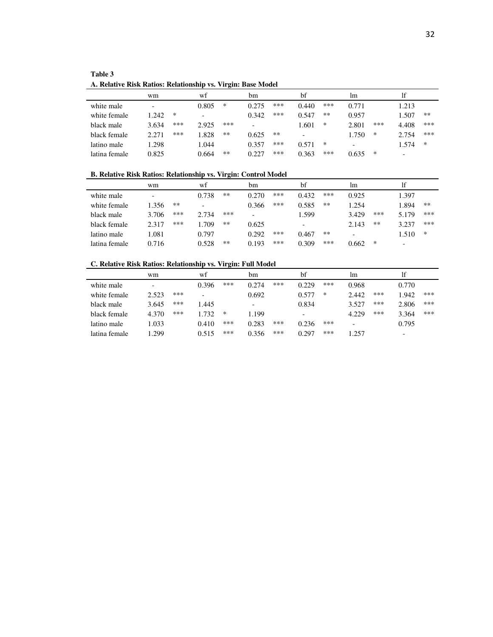| Table 3                                                      |
|--------------------------------------------------------------|
| A. Relative Risk Ratios: Relationship vs. Virgin: Base Model |

|               | wm    |     | wt                       |     | bm                       |     | bf    |      | lm.                      |     | 1f                       |       |
|---------------|-------|-----|--------------------------|-----|--------------------------|-----|-------|------|--------------------------|-----|--------------------------|-------|
| white male    |       |     | 0.805                    | ∗   | 0.275                    | *** | 0.440 | ***  | 0.771                    |     | 1.213                    |       |
| white female  | 1.242 | ∗   | $\overline{\phantom{0}}$ |     | 0.342                    | *** | 0.547 | $**$ | 0.957                    |     | l.507                    | $***$ |
| black male    | 3.634 | *** | 2.925                    | *** | $\overline{\phantom{0}}$ |     | 1.601 | ∗    | 2.801                    | *** | 4.408                    | ***   |
| black female  | 2.271 | *** | 1.828                    | **  | 0.625                    | **  |       |      | 1.750                    | ∗   | 2.754                    | ***   |
| latino male   | 1.298 |     | 1.044                    |     | 0.357                    | *** | 0.571 | ∗    | $\overline{\phantom{0}}$ |     | 1.574                    | ∗     |
| latina female | 0.825 |     | 0.664                    | **  | 0.227                    | *** | 0.363 | ***  | 0.635                    | ∗   | $\overline{\phantom{0}}$ |       |

#### **B. Relative Risk Ratios: Relationship vs. Virgin: Control Model**

|               | wm    |     | wt                       |     | bm    |     | bf    |     | lm    |     | 1f                       |        |
|---------------|-------|-----|--------------------------|-----|-------|-----|-------|-----|-------|-----|--------------------------|--------|
| white male    | -     |     | 0.738                    | **  | 0.270 | *** | 0.432 | *** | 0.925 |     | 1.397                    |        |
| white female  | 1.356 | **  | $\overline{\phantom{0}}$ |     | 0.366 | *** | 0.585 | **  | 1.254 |     | 1.894                    | $***$  |
| black male    | 3.706 | *** | 2.734                    | *** |       |     | 1.599 |     | 3.429 | *** | 5.179                    | ***    |
| black female  | 2.317 | *** | .709                     | **  | 0.625 |     | -     |     | 2.143 | **  | 3.237                    | ***    |
| latino male   | 1.081 |     | 0.797                    |     | 0.292 | *** | 0.467 | **  |       |     | 1.510                    | $\ast$ |
| latina female | 0.716 |     | 0.528                    | **  | 0.193 | *** | 0.309 | *** | 0.662 | ∗   | $\overline{\phantom{0}}$ |        |

#### **C. Relative Risk Ratios: Relationship vs. Virgin: Full Model**

|               | wm    |     | wf    |     | bm                       |     | bf    |     | lm                       |     | 1f                       |     |
|---------------|-------|-----|-------|-----|--------------------------|-----|-------|-----|--------------------------|-----|--------------------------|-----|
| white male    | -     |     | 0.396 | *** | 0.274                    | *** | 0.229 | *** | 0.968                    |     | 0.770                    |     |
| white female  | 2.523 | *** | -     |     | 0.692                    |     | 0.577 | ∗   | 2.442                    | *** | 1.942                    | *** |
| black male    | 3.645 | *** | 1.445 |     | $\overline{\phantom{0}}$ |     | 0.834 |     | 3.527                    | *** | 2.806                    | *** |
| black female  | 4.370 | *** | 1.732 | *   | 1.199                    |     | -     |     | 4.229                    | *** | 3.364                    | *** |
| latino male   | .033  |     | 0.410 | *** | 0.283                    | *** | 0.236 | *** | $\overline{\phantom{0}}$ |     | 0.795                    |     |
| latina female | .299  |     | 0.515 | *** | 0.356                    | *** | 0.297 | *** | 1.257                    |     | $\overline{\phantom{0}}$ |     |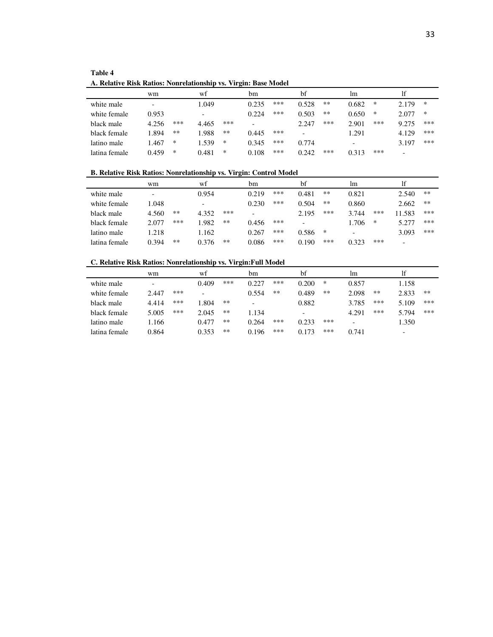| <b>Table 4</b>                                                  |
|-----------------------------------------------------------------|
| A. Relative Risk Ratios: Nonrelationship vs. Virgin: Base Model |

|               | wm    |     | wt                       |     | bm    |     | bf    |      | lm                       |     | lf                       |        |
|---------------|-------|-----|--------------------------|-----|-------|-----|-------|------|--------------------------|-----|--------------------------|--------|
| white male    | -     |     | 1.049                    |     | 0.235 | *** | 0.528 | **   | 0.682                    | ∗   | 2.179                    | ∗      |
| white female  | 0.953 |     | $\overline{\phantom{0}}$ |     | 0.224 | *** | 0.503 | $**$ | 0.650                    | ∗   | 2.077                    | $\ast$ |
| black male    | 4.256 | *** | 4.465                    | *** | -     |     | 2.247 | ***  | 2.901                    | *** | 9.275                    | ***    |
| black female  | 1.894 | **  | 1.988                    | **  | 0.445 | *** |       |      | 1.291                    |     | 4.129                    | ***    |
| latino male   | 1.467 | ∗   | 1.539                    | ∗   | 0.345 | *** | 0.774 |      | $\overline{\phantom{0}}$ |     | 3.197                    | ***    |
| latina female | 0.459 | ∗   | 0.481                    | ∗   | 0.108 | *** | 0.242 | ***  | 0.313                    | *** | $\overline{\phantom{0}}$ |        |

**B. Relative Risk Ratios: Nonrelationship vs. Virgin: Control Model** 

|               | wm    |     | wt                       |      | bm    |     | bf    |     | lm.                      |     | 1f                       |     |
|---------------|-------|-----|--------------------------|------|-------|-----|-------|-----|--------------------------|-----|--------------------------|-----|
| white male    |       |     | 0.954                    |      | 0.219 | *** | 0.481 | **  | 0.821                    |     | 2.540                    | **  |
| white female  | 1.048 |     | $\overline{\phantom{0}}$ |      | 0.230 | *** | 0.504 | **  | 0.860                    |     | 2.662                    | **  |
| black male    | 4.560 | **  | 4.352                    | ***  |       |     | 2.195 | *** | 3.744                    | *** | 11.583                   | *** |
| black female  | 2.077 | *** | 1.982                    | **   | 0.456 | *** |       |     | 1.706                    | ∗   | 5.277                    | *** |
| latino male   | 1.218 |     | 1.162                    |      | 0.267 | *** | 0.586 | ∗   | $\overline{\phantom{a}}$ |     | 3.093                    | *** |
| latina female | 0.394 | **  | 0.376                    | $**$ | 0.086 | *** | 0.190 | *** | 0.323                    | *** | $\overline{\phantom{0}}$ |     |

#### **C. Relative Risk Ratios: Nonrelationship vs. Virgin:Full Model**

|               | wm    |     | wt    |     | bm                       |     | bf    |     | lm                       |     | lf                       |       |
|---------------|-------|-----|-------|-----|--------------------------|-----|-------|-----|--------------------------|-----|--------------------------|-------|
| white male    | -     |     | 0.409 | *** | 0.227                    | *** | 0.200 | ∗   | 0.857                    |     | 1.158                    |       |
| white female  | 2.447 | *** |       |     | 0.554                    | **  | 0.489 | **  | 2.098                    | **  | 2.833                    | $***$ |
| black male    | 4.414 | *** | 1.804 | **  | $\overline{\phantom{0}}$ |     | 0.882 |     | 3.785                    | *** | 5.109                    | ***   |
| black female  | 5.005 | *** | 2.045 | **  | 1.134                    |     | -     |     | 4.291                    | *** | 5.794                    | ***   |
| latino male   | .166  |     | 0.477 | **  | 0.264                    | *** | 0.233 | *** | $\overline{\phantom{0}}$ |     | 1.350                    |       |
| latina female | 0.864 |     | 0.353 | **  | 0.196                    | *** | 0.173 | *** | 0.741                    |     | $\overline{\phantom{0}}$ |       |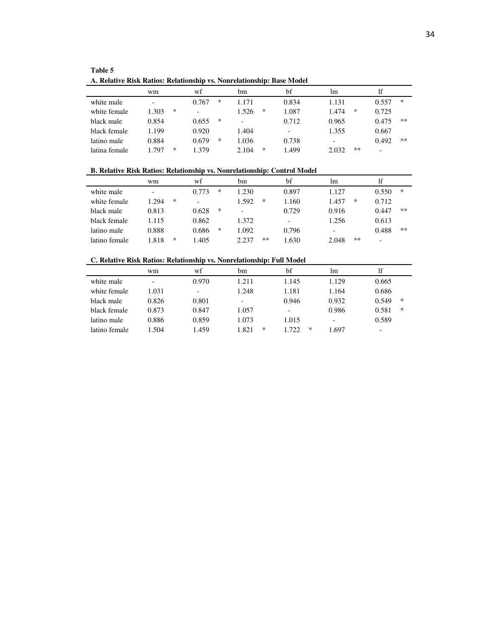| A. Relative Risk Ratios: Relationship vs. Nonrelationship: Base Model |            |            |            |       |                          |                |
|-----------------------------------------------------------------------|------------|------------|------------|-------|--------------------------|----------------|
|                                                                       | wm         | wf         | hm         | bf    | <sub>Im</sub>            | lf             |
| white male                                                            | -          | *<br>0.767 | 1.171      | 0.834 | 1.131                    | *<br>0.557     |
| white female                                                          | *<br>1.303 |            | ∗<br>1.526 | 1.087 | $\ast$<br>1.474          | 0.725          |
| black male                                                            | 0.854      | ∗<br>0.655 | -          | 0.712 | 0.965                    | $**$<br>0.475  |
| black female                                                          | 1.199      | 0.920      | 1.404      |       | 1.355                    | 0.667          |
| latino male                                                           | 0.884      | ∗<br>0.679 | .036       | 0.738 | $\overline{\phantom{0}}$ | $***$<br>0.492 |

latina female 1.797 \* 1.379 2.104 \* 1.499 2.032 \*\* -

**Table 5** 

**B. Relative Risk Ratios: Relationship vs. Nonrelationship: Control Model** 

|               | wm                       |        | wf    |   | bm    |    | bf                       | <sub>1m</sub> |    | lf    |        |
|---------------|--------------------------|--------|-------|---|-------|----|--------------------------|---------------|----|-------|--------|
| white male    | $\overline{\phantom{0}}$ |        | 0.773 | * | 1.230 |    | 0.897                    | 1.127         |    | 0.550 | $\ast$ |
| white female  | .294                     | $\ast$ |       |   | 1.592 | ∗  | 1.160                    | 1.457         | ∗  | 0.712 |        |
| black male    | 0.813                    |        | 0.628 | ∗ |       |    | 0.729                    | 0.916         |    | 0.447 | **     |
| black female  | 1.115                    |        | 0.862 |   | 1.372 |    | $\overline{\phantom{a}}$ | 1.256         |    | 0.613 |        |
| latino male   | 0.888                    |        | 0.686 | ∗ | 1.092 |    | 0.796                    | -             |    | 0.488 | **     |
| latino female | 1.818                    | ∗      | 1.405 |   | 2.237 | ** | 1.630                    | 2.048         | ** | -     |        |

**C. Relative Risk Ratios: Relationship vs. Nonrelationship: Full Model** 

|               | wm                       | wf    | bm         | bf                       | <sub>1m</sub>            | lf                       |
|---------------|--------------------------|-------|------------|--------------------------|--------------------------|--------------------------|
| white male    | $\overline{\phantom{0}}$ | 0.970 | 1.211      | 1.145                    | 1.129                    | 0.665                    |
| white female  | 1.031                    |       | 1.248      | 1.181                    | 1.164                    | 0.686                    |
| black male    | 0.826                    | 0.801 | -          | 0.946                    | 0.932                    | ∗<br>0.549               |
| black female  | 0.873                    | 0.847 | 1.057      | $\overline{\phantom{a}}$ | 0.986                    | *<br>0.581               |
| latino male   | 0.886                    | 0.859 | 1.073      | 1.015                    | $\overline{\phantom{0}}$ | 0.589                    |
| latino female | L.504                    | 1.459 | ∗<br>1.821 | 1.722<br>∗               | 1.697                    | $\overline{\phantom{0}}$ |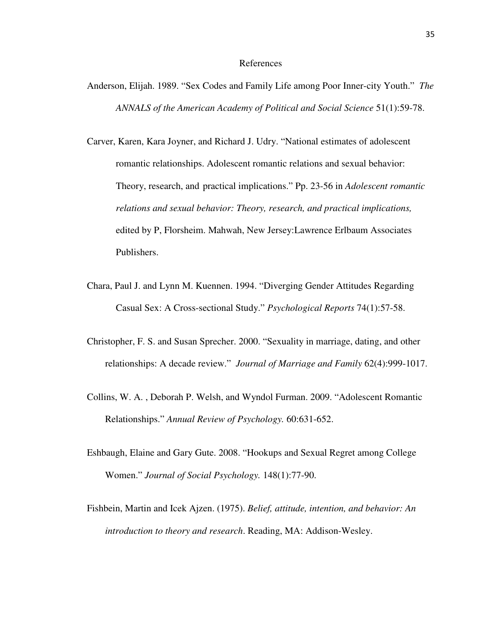#### References

- Anderson, Elijah. 1989. "Sex Codes and Family Life among Poor Inner-city Youth." *The ANNALS of the American Academy of Political and Social Science* 51(1):59-78.
- Carver, Karen, Kara Joyner, and Richard J. Udry. "National estimates of adolescent romantic relationships. Adolescent romantic relations and sexual behavior: Theory, research, and practical implications." Pp. 23-56 in *Adolescent romantic relations and sexual behavior: Theory, research, and practical implications,*  edited by P, Florsheim. Mahwah, New Jersey:Lawrence Erlbaum Associates Publishers.
- Chara, Paul J. and Lynn M. Kuennen. 1994. "Diverging Gender Attitudes Regarding Casual Sex: A Cross-sectional Study." *Psychological Reports* 74(1):57-58.
- Christopher, F. S. and Susan Sprecher. 2000. "Sexuality in marriage, dating, and other relationships: A decade review." *Journal of Marriage and Family* 62(4):999-1017.
- Collins, W. A. , Deborah P. Welsh, and Wyndol Furman. 2009. "Adolescent Romantic Relationships." *Annual Review of Psychology.* 60:631-652.
- Eshbaugh, Elaine and Gary Gute. 2008. "Hookups and Sexual Regret among College Women." *Journal of Social Psychology.* 148(1):77-90.
- Fishbein, Martin and Icek Ajzen. (1975). *Belief, attitude, intention, and behavior: An introduction to theory and research*. Reading, MA: Addison-Wesley.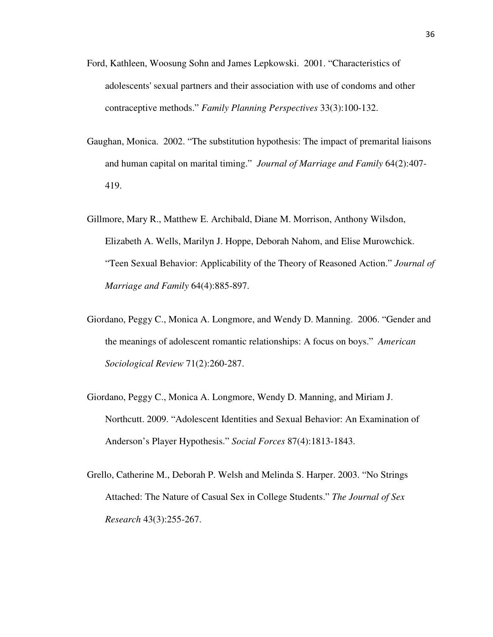- Ford, Kathleen, Woosung Sohn and James Lepkowski. 2001. "Characteristics of adolescents' sexual partners and their association with use of condoms and other contraceptive methods." *Family Planning Perspectives* 33(3):100-132.
- Gaughan, Monica. 2002. "The substitution hypothesis: The impact of premarital liaisons and human capital on marital timing." *Journal of Marriage and Family* 64(2):407- 419.
- Gillmore, Mary R., Matthew E. Archibald, Diane M. Morrison, Anthony Wilsdon, Elizabeth A. Wells, Marilyn J. Hoppe, Deborah Nahom, and Elise Murowchick. "Teen Sexual Behavior: Applicability of the Theory of Reasoned Action." *Journal of Marriage and Family* 64(4):885-897.
- Giordano, Peggy C., Monica A. Longmore, and Wendy D. Manning. 2006. "Gender and the meanings of adolescent romantic relationships: A focus on boys." *American Sociological Review* 71(2):260-287.
- Giordano, Peggy C., Monica A. Longmore, Wendy D. Manning, and Miriam J. Northcutt. 2009. "Adolescent Identities and Sexual Behavior: An Examination of Anderson's Player Hypothesis." *Social Forces* 87(4):1813-1843.
- Grello, Catherine M., Deborah P. Welsh and Melinda S. Harper. 2003. "No Strings Attached: The Nature of Casual Sex in College Students." *The Journal of Sex Research* 43(3):255-267.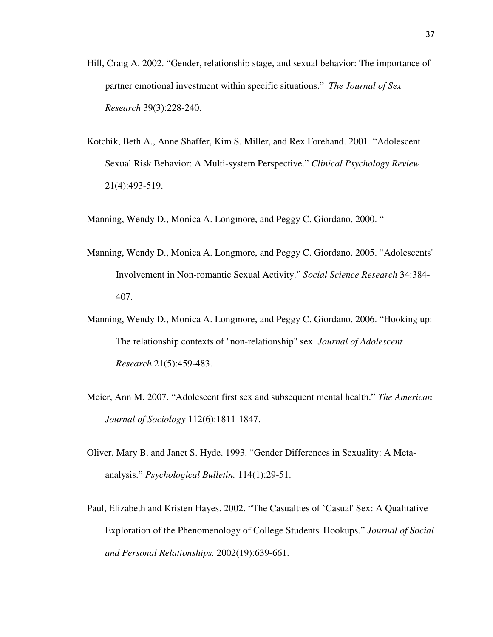- Hill, Craig A. 2002. "Gender, relationship stage, and sexual behavior: The importance of partner emotional investment within specific situations." *The Journal of Sex Research* 39(3):228-240.
- Kotchik, Beth A., Anne Shaffer, Kim S. Miller, and Rex Forehand. 2001. "Adolescent Sexual Risk Behavior: A Multi-system Perspective." *Clinical Psychology Review*  21(4):493-519.

Manning, Wendy D., Monica A. Longmore, and Peggy C. Giordano. 2000. "

- Manning, Wendy D., Monica A. Longmore, and Peggy C. Giordano. 2005. "Adolescents' Involvement in Non-romantic Sexual Activity." *Social Science Research* 34:384- 407.
- Manning, Wendy D., Monica A. Longmore, and Peggy C. Giordano. 2006. "Hooking up: The relationship contexts of "non-relationship" sex. *Journal of Adolescent Research* 21(5):459-483.
- Meier, Ann M. 2007. "Adolescent first sex and subsequent mental health." *The American Journal of Sociology* 112(6):1811-1847.
- Oliver, Mary B. and Janet S. Hyde. 1993. "Gender Differences in Sexuality: A Metaanalysis." *Psychological Bulletin.* 114(1):29-51.
- Paul, Elizabeth and Kristen Hayes. 2002. "The Casualties of `Casual' Sex: A Qualitative Exploration of the Phenomenology of College Students' Hookups." *Journal of Social and Personal Relationships.* 2002(19):639-661.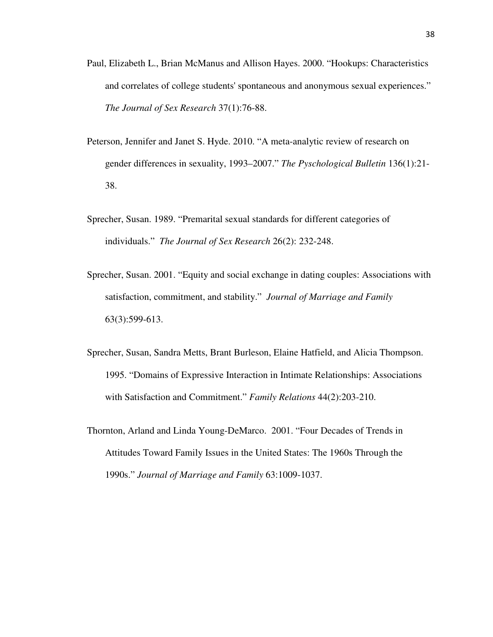- Paul, Elizabeth L., Brian McManus and Allison Hayes. 2000. "Hookups: Characteristics and correlates of college students' spontaneous and anonymous sexual experiences." *The Journal of Sex Research* 37(1):76-88.
- Peterson, Jennifer and Janet S. Hyde. 2010. "A meta-analytic review of research on gender differences in sexuality, 1993–2007." *The Pyschological Bulletin* 136(1):21- 38.
- Sprecher, Susan. 1989. "Premarital sexual standards for different categories of individuals." *The Journal of Sex Research* 26(2): 232-248.
- Sprecher, Susan. 2001. "Equity and social exchange in dating couples: Associations with satisfaction, commitment, and stability." *Journal of Marriage and Family*  63(3):599-613.
- Sprecher, Susan, Sandra Metts, Brant Burleson, Elaine Hatfield, and Alicia Thompson. 1995. "Domains of Expressive Interaction in Intimate Relationships: Associations with Satisfaction and Commitment." *Family Relations* 44(2):203-210.
- Thornton, Arland and Linda Young-DeMarco. 2001. "Four Decades of Trends in Attitudes Toward Family Issues in the United States: The 1960s Through the 1990s." *Journal of Marriage and Family* 63:1009-1037.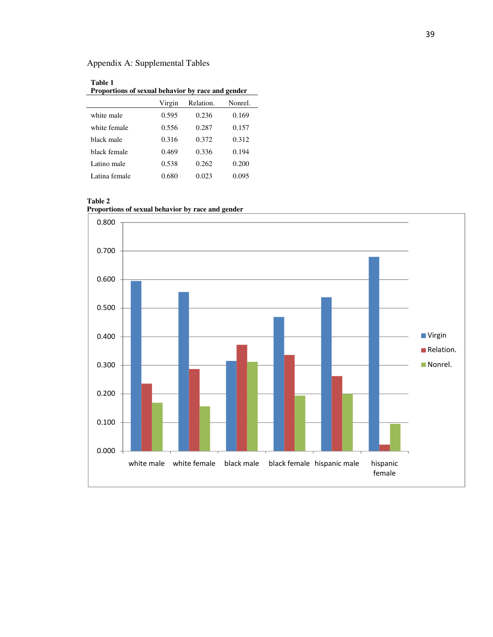# Appendix A: Supplemental Tables

| Table 1<br>Proportions of sexual behavior by race and gender |        |           |         |  |  |  |
|--------------------------------------------------------------|--------|-----------|---------|--|--|--|
|                                                              | Virgin | Relation. | Nonrel. |  |  |  |
| white male                                                   | 0.595  | 0.236     | 0.169   |  |  |  |
| white female                                                 | 0.556  | 0.287     | 0.157   |  |  |  |
| hlack male                                                   | 0.316  | 0.372     | 0.312   |  |  |  |
| hlack female                                                 | 0.469  | 0.336     | 0.194   |  |  |  |
| Latino male                                                  | 0.538  | 0.262     | 0.200   |  |  |  |
| Latina female                                                | 0.680  | 0.023     | 0.095   |  |  |  |

#### **Table 2**

**Proportions of sexual behavior by race and gender**